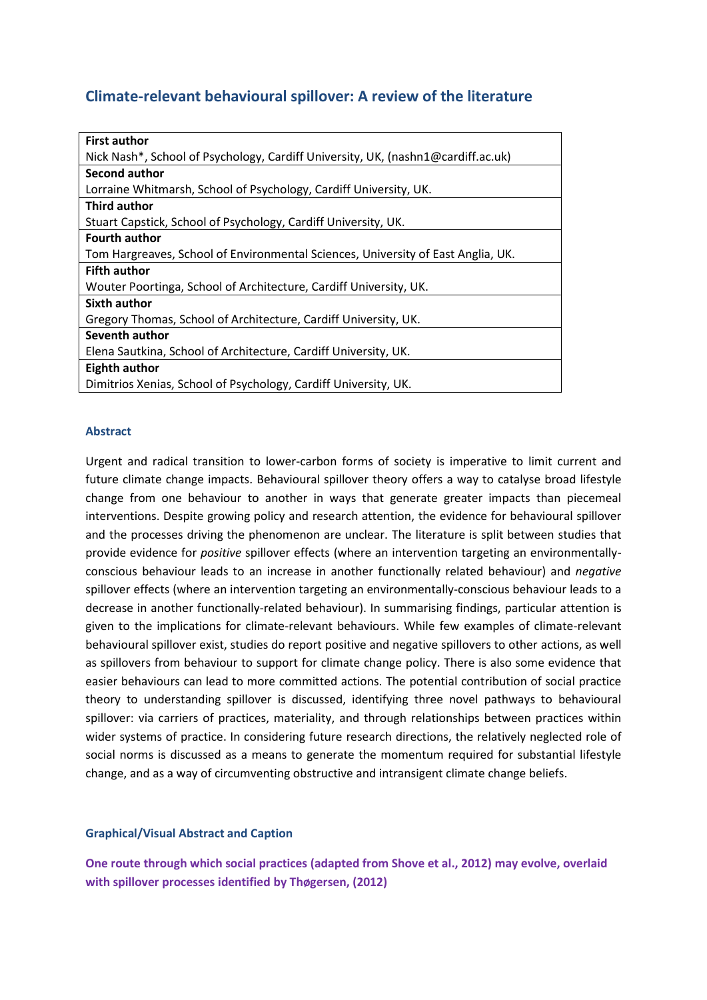# **Climate-relevant behavioural spillover: A review of the literature**

| <b>First author</b>                                                              |
|----------------------------------------------------------------------------------|
| Nick Nash*, School of Psychology, Cardiff University, UK, (nashn1@cardiff.ac.uk) |
| Second author                                                                    |
| Lorraine Whitmarsh, School of Psychology, Cardiff University, UK.                |
| <b>Third author</b>                                                              |
| Stuart Capstick, School of Psychology, Cardiff University, UK.                   |
| <b>Fourth author</b>                                                             |
| Tom Hargreaves, School of Environmental Sciences, University of East Anglia, UK. |
| <b>Fifth author</b>                                                              |
| Wouter Poortinga, School of Architecture, Cardiff University, UK.                |
| Sixth author                                                                     |
| Gregory Thomas, School of Architecture, Cardiff University, UK.                  |
| Seventh author                                                                   |
| Elena Sautkina, School of Architecture, Cardiff University, UK.                  |
| Eighth author                                                                    |
| Dimitrios Xenias, School of Psychology, Cardiff University, UK.                  |

# **Abstract**

Urgent and radical transition to lower-carbon forms of society is imperative to limit current and future climate change impacts. Behavioural spillover theory offers a way to catalyse broad lifestyle change from one behaviour to another in ways that generate greater impacts than piecemeal interventions. Despite growing policy and research attention, the evidence for behavioural spillover and the processes driving the phenomenon are unclear. The literature is split between studies that provide evidence for *positive* spillover effects (where an intervention targeting an environmentallyconscious behaviour leads to an increase in another functionally related behaviour) and *negative* spillover effects (where an intervention targeting an environmentally-conscious behaviour leads to a decrease in another functionally-related behaviour). In summarising findings, particular attention is given to the implications for climate-relevant behaviours. While few examples of climate-relevant behavioural spillover exist, studies do report positive and negative spillovers to other actions, as well as spillovers from behaviour to support for climate change policy. There is also some evidence that easier behaviours can lead to more committed actions. The potential contribution of social practice theory to understanding spillover is discussed, identifying three novel pathways to behavioural spillover: via carriers of practices, materiality, and through relationships between practices within wider systems of practice. In considering future research directions, the relatively neglected role of social norms is discussed as a means to generate the momentum required for substantial lifestyle change, and as a way of circumventing obstructive and intransigent climate change beliefs.

# **Graphical/Visual Abstract and Caption**

**One route through which social practices (adapted from Shove et al., 2012) may evolve, overlaid with spillover processes identified by Thøgersen, (2012)**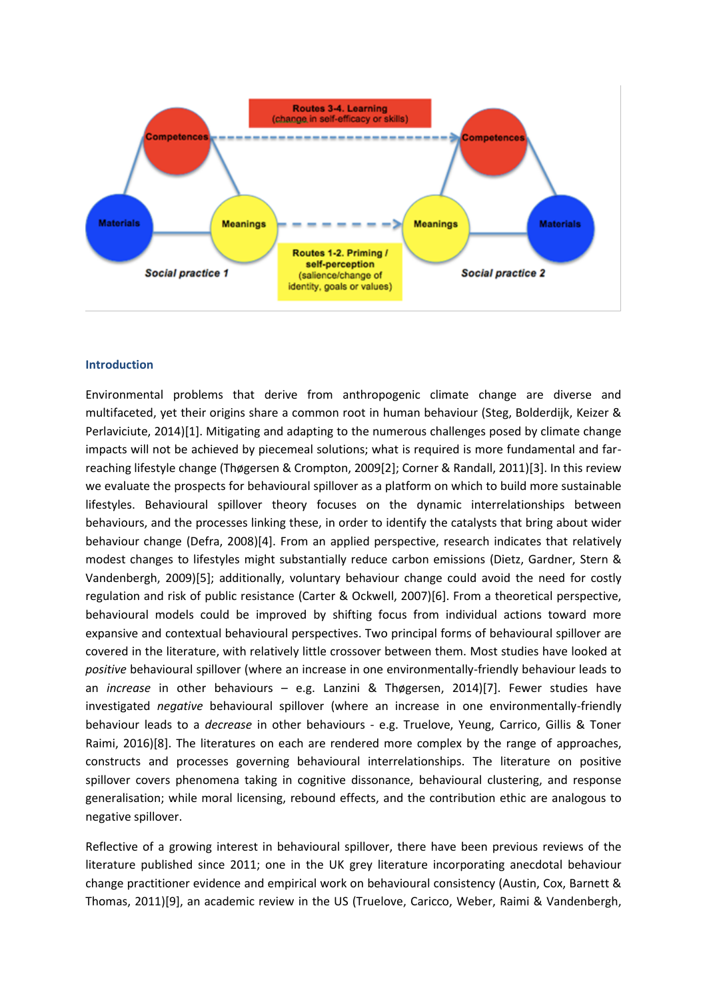

#### **Introduction**

Environmental problems that derive from anthropogenic climate change are diverse and multifaceted, yet their origins share a common root in human behaviour (Steg, Bolderdijk, Keizer & Perlaviciute, 2014)[1]. Mitigating and adapting to the numerous challenges posed by climate change impacts will not be achieved by piecemeal solutions; what is required is more fundamental and farreaching lifestyle change (Thøgersen & Crompton, 2009[2]; Corner & Randall, 2011)[3]. In this review we evaluate the prospects for behavioural spillover as a platform on which to build more sustainable lifestyles. Behavioural spillover theory focuses on the dynamic interrelationships between behaviours, and the processes linking these, in order to identify the catalysts that bring about wider behaviour change (Defra, 2008)[4]. From an applied perspective, research indicates that relatively modest changes to lifestyles might substantially reduce carbon emissions (Dietz, Gardner, Stern & Vandenbergh, 2009)[5]; additionally, voluntary behaviour change could avoid the need for costly regulation and risk of public resistance (Carter & Ockwell, 2007)[6]. From a theoretical perspective, behavioural models could be improved by shifting focus from individual actions toward more expansive and contextual behavioural perspectives. Two principal forms of behavioural spillover are covered in the literature, with relatively little crossover between them. Most studies have looked at *positive* behavioural spillover (where an increase in one environmentally-friendly behaviour leads to an *increase* in other behaviours – e.g. Lanzini & Thøgersen, 2014)[7]. Fewer studies have investigated *negative* behavioural spillover (where an increase in one environmentally-friendly behaviour leads to a *decrease* in other behaviours - e.g. Truelove, Yeung, Carrico, Gillis & Toner Raimi, 2016)[8]. The literatures on each are rendered more complex by the range of approaches, constructs and processes governing behavioural interrelationships. The literature on positive spillover covers phenomena taking in cognitive dissonance, behavioural clustering, and response generalisation; while moral licensing, rebound effects, and the contribution ethic are analogous to negative spillover.

Reflective of a growing interest in behavioural spillover, there have been previous reviews of the literature published since 2011; one in the UK grey literature incorporating anecdotal behaviour change practitioner evidence and empirical work on behavioural consistency (Austin, Cox, Barnett & Thomas, 2011)[9], an academic review in the US (Truelove, Caricco, Weber, Raimi & Vandenbergh,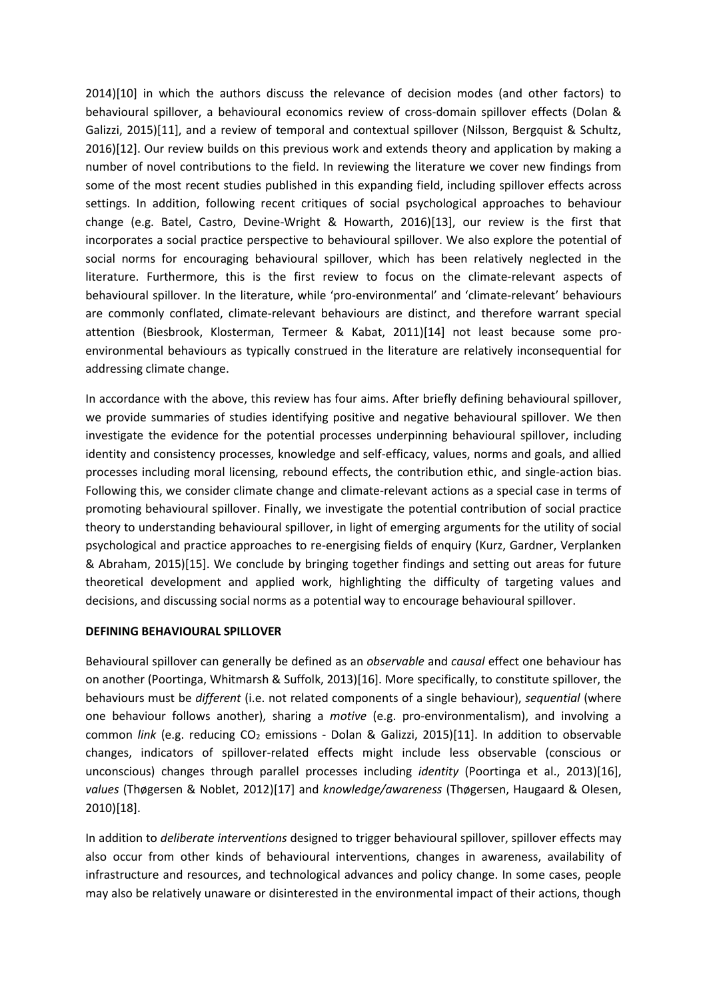2014)[10] in which the authors discuss the relevance of decision modes (and other factors) to behavioural spillover, a behavioural economics review of cross-domain spillover effects (Dolan & Galizzi, 2015)[11], and a review of temporal and contextual spillover (Nilsson, Bergquist & Schultz, 2016)[12]. Our review builds on this previous work and extends theory and application by making a number of novel contributions to the field. In reviewing the literature we cover new findings from some of the most recent studies published in this expanding field, including spillover effects across settings. In addition, following recent critiques of social psychological approaches to behaviour change (e.g. Batel, Castro, Devine-Wright & Howarth, 2016)[13], our review is the first that incorporates a social practice perspective to behavioural spillover. We also explore the potential of social norms for encouraging behavioural spillover, which has been relatively neglected in the literature. Furthermore, this is the first review to focus on the climate-relevant aspects of behavioural spillover. In the literature, while 'pro-environmental' and 'climate-relevant' behaviours are commonly conflated, climate-relevant behaviours are distinct, and therefore warrant special attention (Biesbrook, Klosterman, Termeer & Kabat, 2011)[14] not least because some proenvironmental behaviours as typically construed in the literature are relatively inconsequential for addressing climate change.

In accordance with the above, this review has four aims. After briefly defining behavioural spillover, we provide summaries of studies identifying positive and negative behavioural spillover. We then investigate the evidence for the potential processes underpinning behavioural spillover, including identity and consistency processes, knowledge and self-efficacy, values, norms and goals, and allied processes including moral licensing, rebound effects, the contribution ethic, and single-action bias. Following this, we consider climate change and climate-relevant actions as a special case in terms of promoting behavioural spillover. Finally, we investigate the potential contribution of social practice theory to understanding behavioural spillover, in light of emerging arguments for the utility of social psychological and practice approaches to re-energising fields of enquiry (Kurz, Gardner, Verplanken & Abraham, 2015)[15]. We conclude by bringing together findings and setting out areas for future theoretical development and applied work, highlighting the difficulty of targeting values and decisions, and discussing social norms as a potential way to encourage behavioural spillover.

# **DEFINING BEHAVIOURAL SPILLOVER**

Behavioural spillover can generally be defined as an *observable* and *causal* effect one behaviour has on another (Poortinga, Whitmarsh & Suffolk, 2013)[16]. More specifically, to constitute spillover, the behaviours must be *different* (i.e. not related components of a single behaviour), *sequential* (where one behaviour follows another), sharing a *motive* (e.g. pro-environmentalism), and involving a common *link* (e.g. reducing CO<sub>2</sub> emissions - Dolan & Galizzi, 2015)[11]. In addition to observable changes, indicators of spillover-related effects might include less observable (conscious or unconscious) changes through parallel processes including *identity* (Poortinga et al., 2013)[16], *values* (Thøgersen & Noblet, 2012)[17] and *knowledge/awareness* (Thøgersen, Haugaard & Olesen, 2010)[18].

In addition to *deliberate interventions* designed to trigger behavioural spillover, spillover effects may also occur from other kinds of behavioural interventions, changes in awareness, availability of infrastructure and resources, and technological advances and policy change. In some cases, people may also be relatively unaware or disinterested in the environmental impact of their actions, though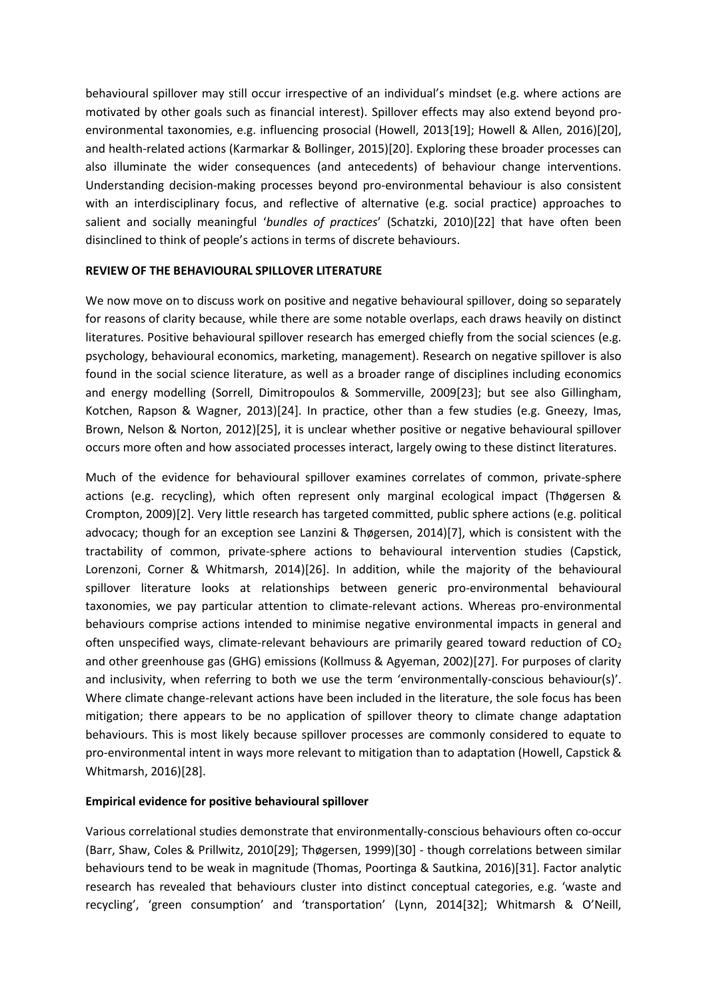behavioural spillover may still occur irrespective of an individual's mindset (e.g. where actions are motivated by other goals such as financial interest). Spillover effects may also extend beyond proenvironmental taxonomies, e.g. influencing prosocial (Howell, 2013[19]; Howell & Allen, 2016)[20], and health-related actions (Karmarkar & Bollinger, 2015)[20]. Exploring these broader processes can also illuminate the wider consequences (and antecedents) of behaviour change interventions. Understanding decision-making processes beyond pro-environmental behaviour is also consistent with an interdisciplinary focus, and reflective of alternative (e.g. social practice) approaches to salient and socially meaningful '*bundles of practices*' (Schatzki, 2010)[22] that have often been disinclined to think of people's actions in terms of discrete behaviours.

# **REVIEW OF THE BEHAVIOURAL SPILLOVER LITERATURE**

We now move on to discuss work on positive and negative behavioural spillover, doing so separately for reasons of clarity because, while there are some notable overlaps, each draws heavily on distinct literatures. Positive behavioural spillover research has emerged chiefly from the social sciences (e.g. psychology, behavioural economics, marketing, management). Research on negative spillover is also found in the social science literature, as well as a broader range of disciplines including economics and energy modelling (Sorrell, Dimitropoulos & Sommerville, 2009[23]; but see also Gillingham, Kotchen, Rapson & Wagner, 2013)[24]. In practice, other than a few studies (e.g. Gneezy, Imas, Brown, Nelson & Norton, 2012)[25], it is unclear whether positive or negative behavioural spillover occurs more often and how associated processes interact, largely owing to these distinct literatures.

Much of the evidence for behavioural spillover examines correlates of common, private-sphere actions (e.g. recycling), which often represent only marginal ecological impact (Thøgersen & Crompton, 2009)[2]. Very little research has targeted committed, public sphere actions (e.g. political advocacy; though for an exception see Lanzini & Thøgersen, 2014)[7], which is consistent with the tractability of common, private-sphere actions to behavioural intervention studies (Capstick, Lorenzoni, Corner & Whitmarsh, 2014)[26]. In addition, while the majority of the behavioural spillover literature looks at relationships between generic pro-environmental behavioural taxonomies, we pay particular attention to climate-relevant actions. Whereas pro-environmental behaviours comprise actions intended to minimise negative environmental impacts in general and often unspecified ways, climate-relevant behaviours are primarily geared toward reduction of  $CO<sub>2</sub>$ and other greenhouse gas (GHG) emissions (Kollmuss & Agyeman, 2002)[27]. For purposes of clarity and inclusivity, when referring to both we use the term 'environmentally-conscious behaviour(s)'. Where climate change-relevant actions have been included in the literature, the sole focus has been mitigation; there appears to be no application of spillover theory to climate change adaptation behaviours. This is most likely because spillover processes are commonly considered to equate to pro-environmental intent in ways more relevant to mitigation than to adaptation (Howell, Capstick & Whitmarsh, 2016)[28].

# **Empirical evidence for positive behavioural spillover**

Various correlational studies demonstrate that environmentally-conscious behaviours often co-occur (Barr, Shaw, Coles & Prillwitz, 2010[29]; Thøgersen, 1999)[30] - though correlations between similar behaviours tend to be weak in magnitude (Thomas, Poortinga & Sautkina, 2016)[31]. Factor analytic research has revealed that behaviours cluster into distinct conceptual categories, e.g. 'waste and recycling', 'green consumption' and 'transportation' (Lynn, 2014[32]; Whitmarsh & O'Neill,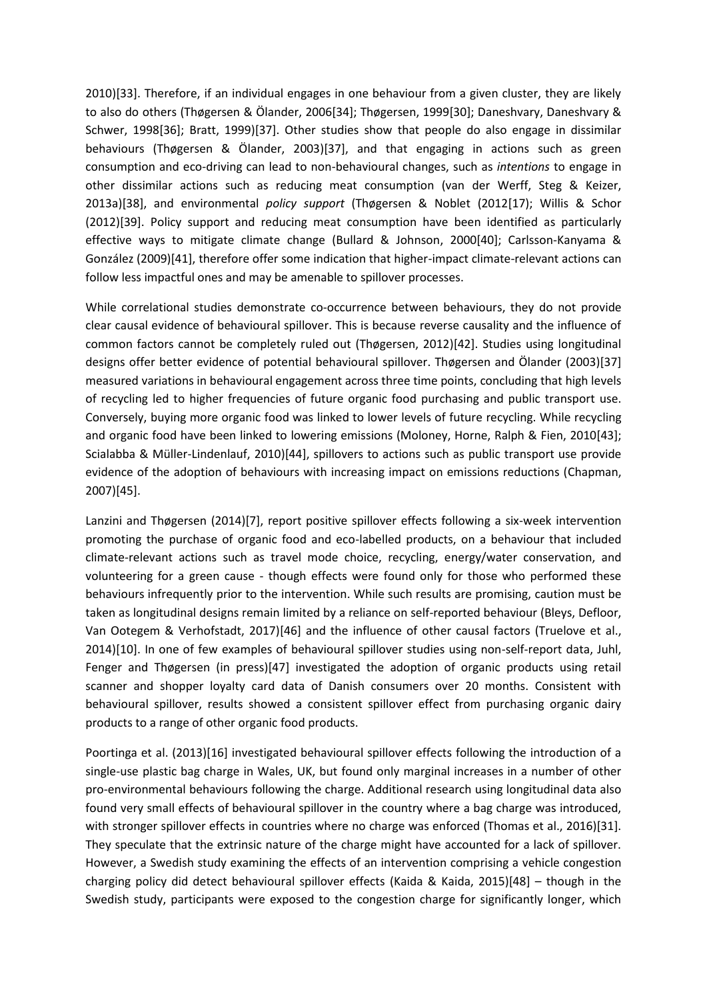2010)[33]. Therefore, if an individual engages in one behaviour from a given cluster, they are likely to also do others (Thøgersen & Ölander, 2006[34]; Thøgersen, 1999[30]; Daneshvary, Daneshvary & Schwer, 1998[36]; Bratt, 1999)[37]. Other studies show that people do also engage in dissimilar behaviours (Thøgersen & Ölander, 2003)[37], and that engaging in actions such as green consumption and eco-driving can lead to non-behavioural changes, such as *intentions* to engage in other dissimilar actions such as reducing meat consumption (van der Werff, Steg & Keizer, 2013a)[38], and environmental *policy support* (Thøgersen & Noblet (2012[17); Willis & Schor (2012)[39]. Policy support and reducing meat consumption have been identified as particularly effective ways to mitigate climate change (Bullard & Johnson, 2000[40]; Carlsson-Kanyama & González (2009)[41], therefore offer some indication that higher-impact climate-relevant actions can follow less impactful ones and may be amenable to spillover processes.

While correlational studies demonstrate co-occurrence between behaviours, they do not provide clear causal evidence of behavioural spillover. This is because reverse causality and the influence of common factors cannot be completely ruled out (Thøgersen, 2012)[42]. Studies using longitudinal designs offer better evidence of potential behavioural spillover. Thøgersen and Ölander (2003)[37] measured variations in behavioural engagement across three time points, concluding that high levels of recycling led to higher frequencies of future organic food purchasing and public transport use. Conversely, buying more organic food was linked to lower levels of future recycling. While recycling and organic food have been linked to lowering emissions (Moloney, Horne, Ralph & Fien, 2010[43]; Scialabba & Müller-Lindenlauf, 2010)[44], spillovers to actions such as public transport use provide evidence of the adoption of behaviours with increasing impact on emissions reductions (Chapman, 2007)[45].

Lanzini and Thøgersen (2014)[7], report positive spillover effects following a six-week intervention promoting the purchase of organic food and eco-labelled products, on a behaviour that included climate-relevant actions such as travel mode choice, recycling, energy/water conservation, and volunteering for a green cause - though effects were found only for those who performed these behaviours infrequently prior to the intervention. While such results are promising, caution must be taken as longitudinal designs remain limited by a reliance on self-reported behaviour (Bleys, Defloor, Van Ootegem & Verhofstadt, 2017)[46] and the influence of other causal factors (Truelove et al., 2014)[10]. In one of few examples of behavioural spillover studies using non-self-report data, Juhl, Fenger and Thøgersen (in press)[47] investigated the adoption of organic products using retail scanner and shopper loyalty card data of Danish consumers over 20 months. Consistent with behavioural spillover, results showed a consistent spillover effect from purchasing organic dairy products to a range of other organic food products.

Poortinga et al. (2013)[16] investigated behavioural spillover effects following the introduction of a single-use plastic bag charge in Wales, UK, but found only marginal increases in a number of other pro-environmental behaviours following the charge. Additional research using longitudinal data also found very small effects of behavioural spillover in the country where a bag charge was introduced, with stronger spillover effects in countries where no charge was enforced (Thomas et al., 2016)[31]. They speculate that the extrinsic nature of the charge might have accounted for a lack of spillover. However, a Swedish study examining the effects of an intervention comprising a vehicle congestion charging policy did detect behavioural spillover effects (Kaida & Kaida, 2015)[48] – though in the Swedish study, participants were exposed to the congestion charge for significantly longer, which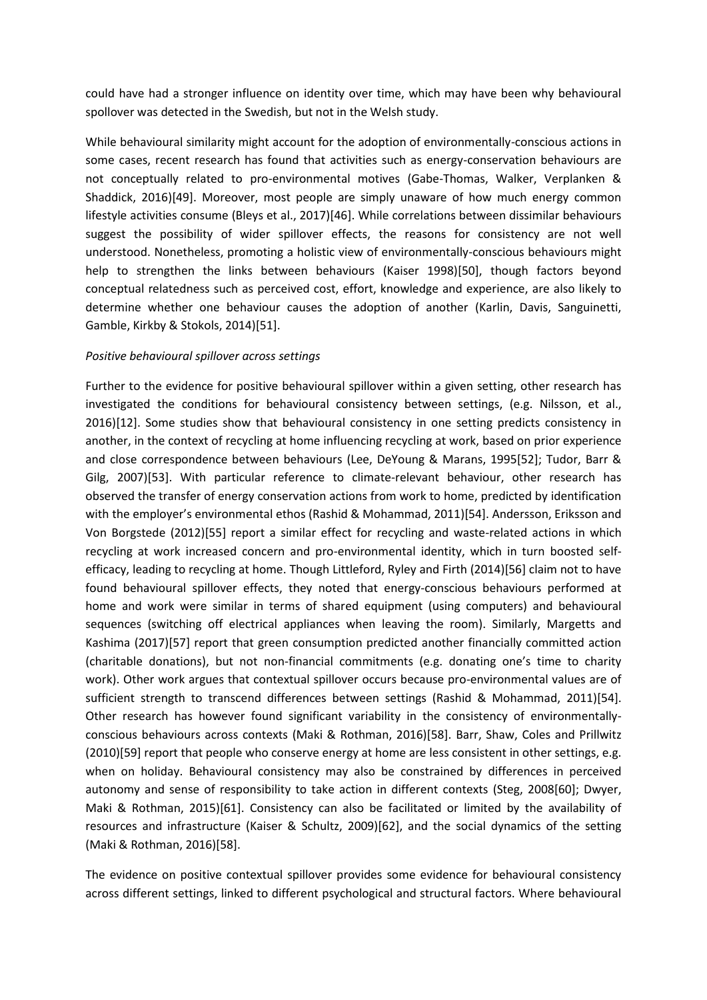could have had a stronger influence on identity over time, which may have been why behavioural spollover was detected in the Swedish, but not in the Welsh study.

While behavioural similarity might account for the adoption of environmentally-conscious actions in some cases, recent research has found that activities such as energy-conservation behaviours are not conceptually related to pro-environmental motives (Gabe-Thomas, Walker, Verplanken & Shaddick, 2016)[49]. Moreover, most people are simply unaware of how much energy common lifestyle activities consume (Bleys et al., 2017)[46]. While correlations between dissimilar behaviours suggest the possibility of wider spillover effects, the reasons for consistency are not well understood. Nonetheless, promoting a holistic view of environmentally-conscious behaviours might help to strengthen the links between behaviours (Kaiser 1998)[50], though factors beyond conceptual relatedness such as perceived cost, effort, knowledge and experience, are also likely to determine whether one behaviour causes the adoption of another (Karlin, Davis, Sanguinetti, Gamble, Kirkby & Stokols, 2014)[51].

## *Positive behavioural spillover across settings*

Further to the evidence for positive behavioural spillover within a given setting, other research has investigated the conditions for behavioural consistency between settings, (e.g. Nilsson, et al., 2016)[12]. Some studies show that behavioural consistency in one setting predicts consistency in another, in the context of recycling at home influencing recycling at work, based on prior experience and close correspondence between behaviours (Lee, DeYoung & Marans, 1995[52]; Tudor, Barr & Gilg, 2007)[53]. With particular reference to climate-relevant behaviour, other research has observed the transfer of energy conservation actions from work to home, predicted by identification with the employer's environmental ethos (Rashid & Mohammad, 2011)[54]. Andersson, Eriksson and Von Borgstede (2012)[55] report a similar effect for recycling and waste-related actions in which recycling at work increased concern and pro-environmental identity, which in turn boosted selfefficacy, leading to recycling at home. Though Littleford, Ryley and Firth (2014)[56] claim not to have found behavioural spillover effects, they noted that energy-conscious behaviours performed at home and work were similar in terms of shared equipment (using computers) and behavioural sequences (switching off electrical appliances when leaving the room). Similarly, Margetts and Kashima (2017)[57] report that green consumption predicted another financially committed action (charitable donations), but not non-financial commitments (e.g. donating one's time to charity work). Other work argues that contextual spillover occurs because pro-environmental values are of sufficient strength to transcend differences between settings (Rashid & Mohammad, 2011)[54]. Other research has however found significant variability in the consistency of environmentallyconscious behaviours across contexts (Maki & Rothman, 2016)[58]. Barr, Shaw, Coles and Prillwitz (2010)[59] report that people who conserve energy at home are less consistent in other settings, e.g. when on holiday. Behavioural consistency may also be constrained by differences in perceived autonomy and sense of responsibility to take action in different contexts (Steg, 2008[60]; Dwyer, Maki & Rothman, 2015)[61]. Consistency can also be facilitated or limited by the availability of resources and infrastructure (Kaiser & Schultz, 2009)[62], and the social dynamics of the setting (Maki & Rothman, 2016)[58].

The evidence on positive contextual spillover provides some evidence for behavioural consistency across different settings, linked to different psychological and structural factors. Where behavioural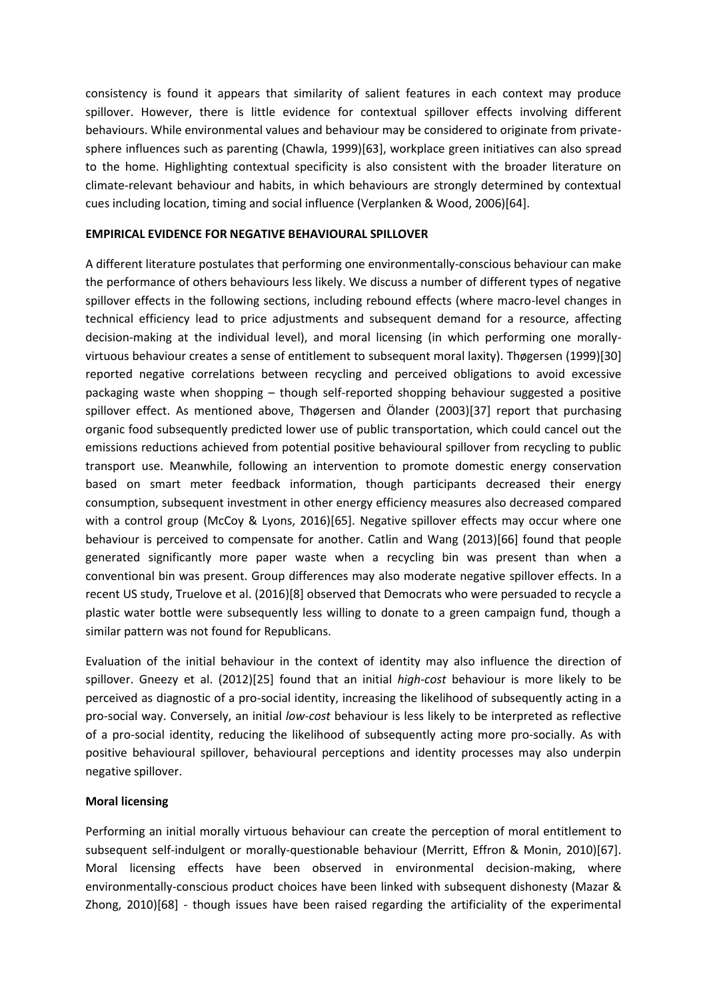consistency is found it appears that similarity of salient features in each context may produce spillover. However, there is little evidence for contextual spillover effects involving different behaviours. While environmental values and behaviour may be considered to originate from privatesphere influences such as parenting (Chawla, 1999)[63], workplace green initiatives can also spread to the home. Highlighting contextual specificity is also consistent with the broader literature on climate-relevant behaviour and habits, in which behaviours are strongly determined by contextual cues including location, timing and social influence (Verplanken & Wood, 2006)[64].

## **EMPIRICAL EVIDENCE FOR NEGATIVE BEHAVIOURAL SPILLOVER**

A different literature postulates that performing one environmentally-conscious behaviour can make the performance of others behaviours less likely. We discuss a number of different types of negative spillover effects in the following sections, including rebound effects (where macro-level changes in technical efficiency lead to price adjustments and subsequent demand for a resource, affecting decision-making at the individual level), and moral licensing (in which performing one morallyvirtuous behaviour creates a sense of entitlement to subsequent moral laxity). Thøgersen (1999)[30] reported negative correlations between recycling and perceived obligations to avoid excessive packaging waste when shopping – though self-reported shopping behaviour suggested a positive spillover effect. As mentioned above, Thøgersen and Ölander (2003)[37] report that purchasing organic food subsequently predicted lower use of public transportation, which could cancel out the emissions reductions achieved from potential positive behavioural spillover from recycling to public transport use. Meanwhile, following an intervention to promote domestic energy conservation based on smart meter feedback information, though participants decreased their energy consumption, subsequent investment in other energy efficiency measures also decreased compared with a control group (McCoy & Lyons, 2016)[65]. Negative spillover effects may occur where one behaviour is perceived to compensate for another. Catlin and Wang (2013)[66] found that people generated significantly more paper waste when a recycling bin was present than when a conventional bin was present. Group differences may also moderate negative spillover effects. In a recent US study, Truelove et al. (2016)[8] observed that Democrats who were persuaded to recycle a plastic water bottle were subsequently less willing to donate to a green campaign fund, though a similar pattern was not found for Republicans.

Evaluation of the initial behaviour in the context of identity may also influence the direction of spillover. Gneezy et al. (2012)[25] found that an initial *high-cost* behaviour is more likely to be perceived as diagnostic of a pro-social identity, increasing the likelihood of subsequently acting in a pro-social way. Conversely, an initial *low-cost* behaviour is less likely to be interpreted as reflective of a pro-social identity, reducing the likelihood of subsequently acting more pro-socially. As with positive behavioural spillover, behavioural perceptions and identity processes may also underpin negative spillover.

# **Moral licensing**

Performing an initial morally virtuous behaviour can create the perception of moral entitlement to subsequent self-indulgent or morally-questionable behaviour (Merritt, Effron & Monin, 2010)[67]. Moral licensing effects have been observed in environmental decision-making, where environmentally-conscious product choices have been linked with subsequent dishonesty (Mazar & Zhong, 2010)[68] - though issues have been raised regarding the artificiality of the experimental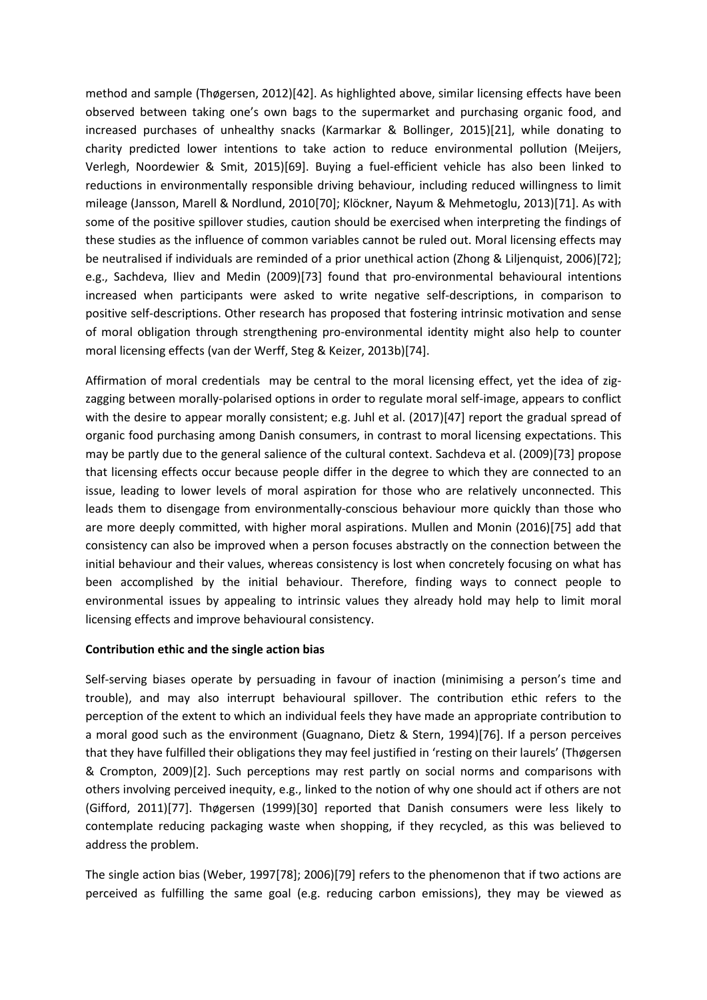method and sample (Thøgersen, 2012)[42]. As highlighted above, similar licensing effects have been observed between taking one's own bags to the supermarket and purchasing organic food, and increased purchases of unhealthy snacks (Karmarkar & Bollinger, 2015)[21], while donating to charity predicted lower intentions to take action to reduce environmental pollution (Meijers, Verlegh, Noordewier & Smit, 2015)[69]. Buying a fuel-efficient vehicle has also been linked to reductions in environmentally responsible driving behaviour, including reduced willingness to limit mileage (Jansson, Marell & Nordlund, 2010[70]; Klöckner, Nayum & Mehmetoglu, 2013)[71]. As with some of the positive spillover studies, caution should be exercised when interpreting the findings of these studies as the influence of common variables cannot be ruled out. Moral licensing effects may be neutralised if individuals are reminded of a prior unethical action (Zhong & Liljenquist, 2006)[72]; e.g., Sachdeva, Iliev and Medin (2009)[73] found that pro-environmental behavioural intentions increased when participants were asked to write negative self-descriptions, in comparison to positive self-descriptions. Other research has proposed that fostering intrinsic motivation and sense of moral obligation through strengthening pro-environmental identity might also help to counter moral licensing effects (van der Werff, Steg & Keizer, 2013b)[74].

Affirmation of moral credentials may be central to the moral licensing effect, yet the idea of zigzagging between morally-polarised options in order to regulate moral self-image, appears to conflict with the desire to appear morally consistent; e.g. Juhl et al. (2017)[47] report the gradual spread of organic food purchasing among Danish consumers, in contrast to moral licensing expectations. This may be partly due to the general salience of the cultural context. Sachdeva et al. (2009)[73] propose that licensing effects occur because people differ in the degree to which they are connected to an issue, leading to lower levels of moral aspiration for those who are relatively unconnected. This leads them to disengage from environmentally-conscious behaviour more quickly than those who are more deeply committed, with higher moral aspirations. Mullen and Monin (2016)[75] add that consistency can also be improved when a person focuses abstractly on the connection between the initial behaviour and their values, whereas consistency is lost when concretely focusing on what has been accomplished by the initial behaviour. Therefore, finding ways to connect people to environmental issues by appealing to intrinsic values they already hold may help to limit moral licensing effects and improve behavioural consistency.

# **Contribution ethic and the single action bias**

Self-serving biases operate by persuading in favour of inaction (minimising a person's time and trouble), and may also interrupt behavioural spillover. The contribution ethic refers to the perception of the extent to which an individual feels they have made an appropriate contribution to a moral good such as the environment (Guagnano, Dietz & Stern, 1994)[76]. If a person perceives that they have fulfilled their obligations they may feel justified in 'resting on their laurels' (Thøgersen & Crompton, 2009)[2]. Such perceptions may rest partly on social norms and comparisons with others involving perceived inequity, e.g., linked to the notion of why one should act if others are not (Gifford, 2011)[77]. Thøgersen (1999)[30] reported that Danish consumers were less likely to contemplate reducing packaging waste when shopping, if they recycled, as this was believed to address the problem.

The single action bias (Weber, 1997[78]; 2006)[79] refers to the phenomenon that if two actions are perceived as fulfilling the same goal (e.g. reducing carbon emissions), they may be viewed as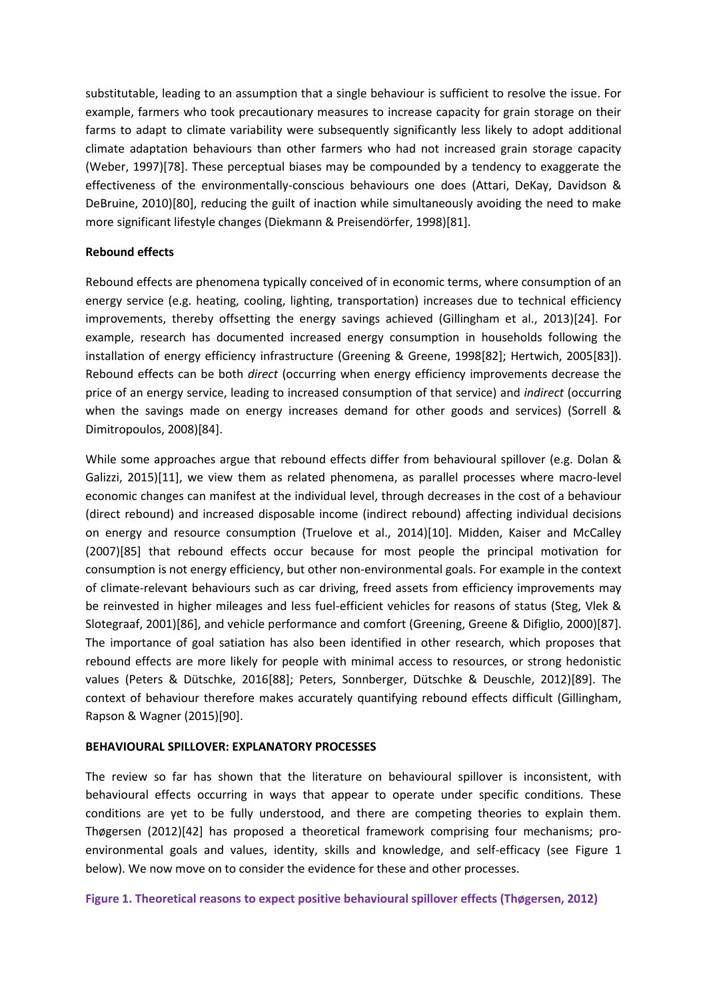substitutable, leading to an assumption that a single behaviour is sufficient to resolve the issue. For example, farmers who took precautionary measures to increase capacity for grain storage on their farms to adapt to climate variability were subsequently significantly less likely to adopt additional climate adaptation behaviours than other farmers who had not increased grain storage capacity (Weber, 1997)[78]. These perceptual biases may be compounded by a tendency to exaggerate the effectiveness of the environmentally-conscious behaviours one does (Attari, DeKay, Davidson & DeBruine, 2010)[80], reducing the guilt of inaction while simultaneously avoiding the need to make more significant lifestyle changes (Diekmann & Preisendörfer, 1998)[81].

## **Rebound effects**

Rebound effects are phenomena typically conceived of in economic terms, where consumption of an energy service (e.g. heating, cooling, lighting, transportation) increases due to technical efficiency improvements, thereby offsetting the energy savings achieved (Gillingham et al., 2013)[24]. For example, research has documented increased energy consumption in households following the installation of energy efficiency infrastructure (Greening & Greene, 1998[82]; Hertwich, 2005[83]). Rebound effects can be both *direct* (occurring when energy efficiency improvements decrease the price of an energy service, leading to increased consumption of that service) and *indirect* (occurring when the savings made on energy increases demand for other goods and services) (Sorrell & Dimitropoulos, 2008)[84].

While some approaches argue that rebound effects differ from behavioural spillover (e.g. Dolan & Galizzi, 2015)[11], we view them as related phenomena, as parallel processes where macro-level economic changes can manifest at the individual level, through decreases in the cost of a behaviour (direct rebound) and increased disposable income (indirect rebound) affecting individual decisions on energy and resource consumption (Truelove et al., 2014)[10]. Midden, Kaiser and McCalley (2007)[85] that rebound effects occur because for most people the principal motivation for consumption is not energy efficiency, but other non-environmental goals. For example in the context of climate-relevant behaviours such as car driving, freed assets from efficiency improvements may be reinvested in higher mileages and less fuel-efficient vehicles for reasons of status (Steg, Vlek & Slotegraaf, 2001)[86], and vehicle performance and comfort (Greening, Greene & Difiglio, 2000)[87]. The importance of goal satiation has also been identified in other research, which proposes that rebound effects are more likely for people with minimal access to resources, or strong hedonistic values (Peters & Dütschke, 2016[88]; Peters, Sonnberger, Dütschke & Deuschle, 2012)[89]. The context of behaviour therefore makes accurately quantifying rebound effects difficult (Gillingham, Rapson & Wagner (2015)[90].

## **BEHAVIOURAL SPILLOVER: EXPLANATORY PROCESSES**

The review so far has shown that the literature on behavioural spillover is inconsistent, with behavioural effects occurring in ways that appear to operate under specific conditions. These conditions are yet to be fully understood, and there are competing theories to explain them. Thøgersen (2012)[42] has proposed a theoretical framework comprising four mechanisms; proenvironmental goals and values, identity, skills and knowledge, and self-efficacy (see Figure 1 below). We now move on to consider the evidence for these and other processes.

**Figure 1. Theoretical reasons to expect positive behavioural spillover effects (Thøgersen, 2012)**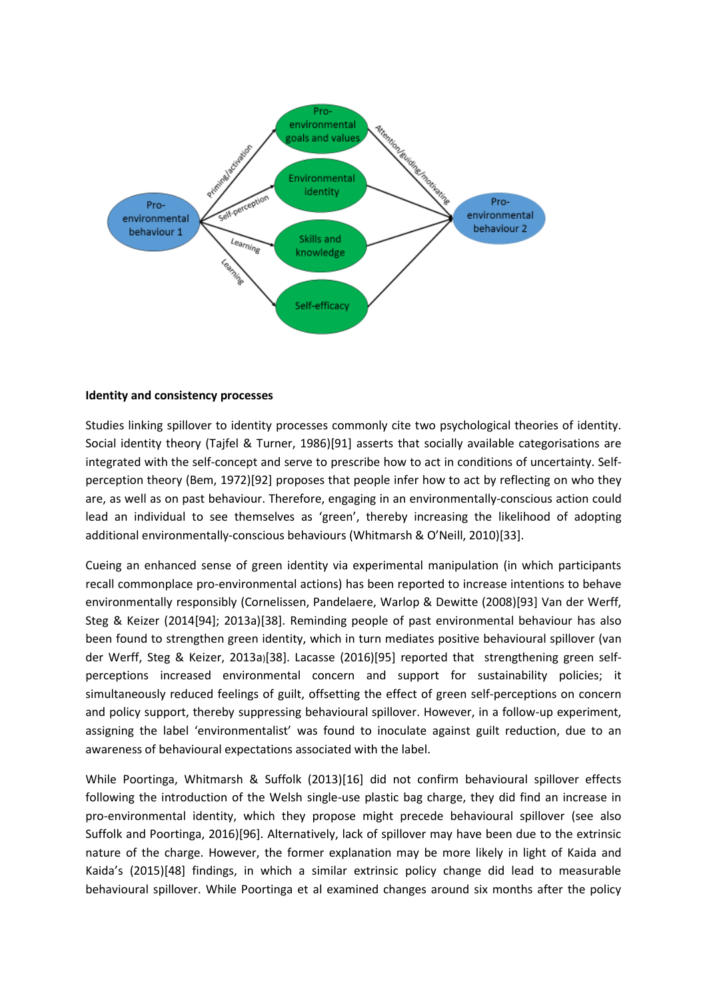

## **Identity and consistency processes**

Studies linking spillover to identity processes commonly cite two psychological theories of identity. Social identity theory (Tajfel & Turner, 1986)[91] asserts that socially available categorisations are integrated with the self-concept and serve to prescribe how to act in conditions of uncertainty. Selfperception theory (Bem, 1972)[92] proposes that people infer how to act by reflecting on who they are, as well as on past behaviour. Therefore, engaging in an environmentally-conscious action could lead an individual to see themselves as 'green', thereby increasing the likelihood of adopting additional environmentally-conscious behaviours (Whitmarsh & O'Neill, 2010)[33].

Cueing an enhanced sense of green identity via experimental manipulation (in which participants recall commonplace pro-environmental actions) has been reported to increase intentions to behave environmentally responsibly (Cornelissen, Pandelaere, Warlop & Dewitte (2008)[93] Van der Werff, Steg & Keizer (2014[94]; 2013a)[38]. Reminding people of past environmental behaviour has also been found to strengthen green identity, which in turn mediates positive behavioural spillover (van der Werff, Steg & Keizer, 2013a)[38]. Lacasse (2016)[95] reported that strengthening green selfperceptions increased environmental concern and support for sustainability policies; it simultaneously reduced feelings of guilt, offsetting the effect of green self-perceptions on concern and policy support, thereby suppressing behavioural spillover. However, in a follow-up experiment, assigning the label 'environmentalist' was found to inoculate against guilt reduction, due to an awareness of behavioural expectations associated with the label.

While Poortinga, Whitmarsh & Suffolk (2013)[16] did not confirm behavioural spillover effects following the introduction of the Welsh single-use plastic bag charge, they did find an increase in pro-environmental identity, which they propose might precede behavioural spillover (see also Suffolk and Poortinga, 2016)[96]. Alternatively, lack of spillover may have been due to the extrinsic nature of the charge. However, the former explanation may be more likely in light of Kaida and Kaida's (2015)[48] findings, in which a similar extrinsic policy change did lead to measurable behavioural spillover. While Poortinga et al examined changes around six months after the policy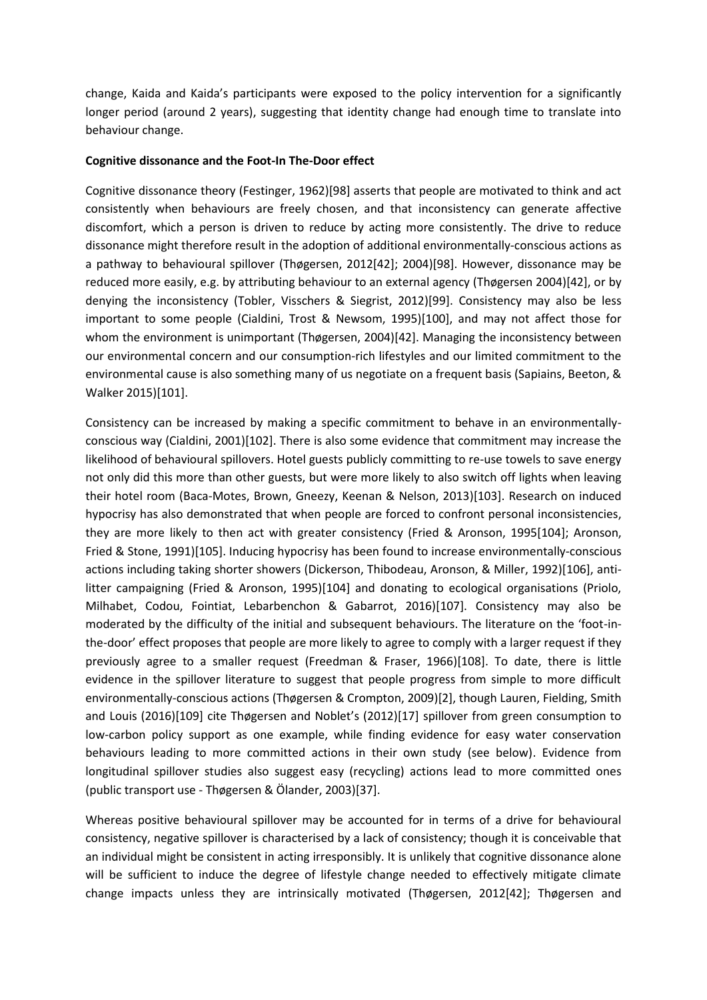change, Kaida and Kaida's participants were exposed to the policy intervention for a significantly longer period (around 2 years), suggesting that identity change had enough time to translate into behaviour change.

## **Cognitive dissonance and the Foot-In The-Door effect**

Cognitive dissonance theory (Festinger, 1962)[98] asserts that people are motivated to think and act consistently when behaviours are freely chosen, and that inconsistency can generate affective discomfort, which a person is driven to reduce by acting more consistently. The drive to reduce dissonance might therefore result in the adoption of additional environmentally-conscious actions as a pathway to behavioural spillover (Thøgersen, 2012[42]; 2004)[98]. However, dissonance may be reduced more easily, e.g. by attributing behaviour to an external agency (Thøgersen 2004)[42], or by denying the inconsistency (Tobler, Visschers & Siegrist, 2012)[99]. Consistency may also be less important to some people (Cialdini, Trost & Newsom, 1995)[100], and may not affect those for whom the environment is unimportant (Thøgersen, 2004)[42]. Managing the inconsistency between our environmental concern and our consumption-rich lifestyles and our limited commitment to the environmental cause is also something many of us negotiate on a frequent basis (Sapiains, Beeton, & Walker 2015)[101].

Consistency can be increased by making a specific commitment to behave in an environmentallyconscious way (Cialdini, 2001)[102]. There is also some evidence that commitment may increase the likelihood of behavioural spillovers. Hotel guests publicly committing to re-use towels to save energy not only did this more than other guests, but were more likely to also switch off lights when leaving their hotel room (Baca-Motes, Brown, Gneezy, Keenan & Nelson, 2013)[103]. Research on induced hypocrisy has also demonstrated that when people are forced to confront personal inconsistencies, they are more likely to then act with greater consistency (Fried & Aronson, 1995[104]; Aronson, Fried & Stone, 1991)[105]. Inducing hypocrisy has been found to increase environmentally-conscious actions including taking shorter showers (Dickerson, Thibodeau, Aronson, & Miller, 1992)[106], antilitter campaigning (Fried & Aronson, 1995)[104] and donating to ecological organisations (Priolo, Milhabet, Codou, Fointiat, Lebarbenchon & Gabarrot, 2016)[107]. Consistency may also be moderated by the difficulty of the initial and subsequent behaviours. The literature on the 'foot-inthe-door' effect proposes that people are more likely to agree to comply with a larger request if they previously agree to a smaller request (Freedman & Fraser, 1966)[108]. To date, there is little evidence in the spillover literature to suggest that people progress from simple to more difficult environmentally-conscious actions (Thøgersen & Crompton, 2009)[2], though Lauren, Fielding, Smith and Louis (2016)[109] cite Thøgersen and Noblet's (2012)[17] spillover from green consumption to low-carbon policy support as one example, while finding evidence for easy water conservation behaviours leading to more committed actions in their own study (see below). Evidence from longitudinal spillover studies also suggest easy (recycling) actions lead to more committed ones (public transport use - Thøgersen & Ölander, 2003)[37].

Whereas positive behavioural spillover may be accounted for in terms of a drive for behavioural consistency, negative spillover is characterised by a lack of consistency; though it is conceivable that an individual might be consistent in acting irresponsibly. It is unlikely that cognitive dissonance alone will be sufficient to induce the degree of lifestyle change needed to effectively mitigate climate change impacts unless they are intrinsically motivated (Thøgersen, 2012[42]; Thøgersen and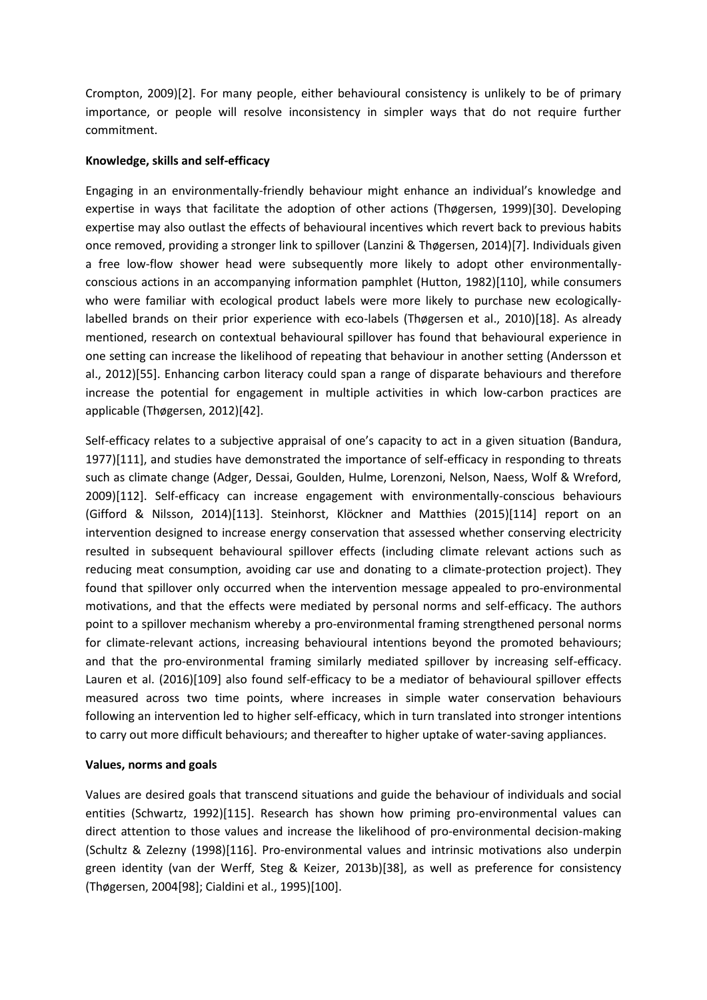Crompton, 2009)[2]. For many people, either behavioural consistency is unlikely to be of primary importance, or people will resolve inconsistency in simpler ways that do not require further commitment.

## **Knowledge, skills and self-efficacy**

Engaging in an environmentally-friendly behaviour might enhance an individual's knowledge and expertise in ways that facilitate the adoption of other actions (Thøgersen, 1999)[30]. Developing expertise may also outlast the effects of behavioural incentives which revert back to previous habits once removed, providing a stronger link to spillover (Lanzini & Thøgersen, 2014)[7]. Individuals given a free low-flow shower head were subsequently more likely to adopt other environmentallyconscious actions in an accompanying information pamphlet (Hutton, 1982)[110], while consumers who were familiar with ecological product labels were more likely to purchase new ecologicallylabelled brands on their prior experience with eco-labels (Thøgersen et al., 2010)[18]. As already mentioned, research on contextual behavioural spillover has found that behavioural experience in one setting can increase the likelihood of repeating that behaviour in another setting (Andersson et al., 2012)[55]. Enhancing carbon literacy could span a range of disparate behaviours and therefore increase the potential for engagement in multiple activities in which low-carbon practices are applicable (Thøgersen, 2012)[42].

Self-efficacy relates to a subjective appraisal of one's capacity to act in a given situation (Bandura, 1977)[111], and studies have demonstrated the importance of self-efficacy in responding to threats such as climate change (Adger, Dessai, Goulden, Hulme, Lorenzoni, Nelson, Naess, Wolf & Wreford, 2009)[112]. Self-efficacy can increase engagement with environmentally-conscious behaviours (Gifford & Nilsson, 2014)[113]. Steinhorst, Klöckner and Matthies (2015)[114] report on an intervention designed to increase energy conservation that assessed whether conserving electricity resulted in subsequent behavioural spillover effects (including climate relevant actions such as reducing meat consumption, avoiding car use and donating to a climate-protection project). They found that spillover only occurred when the intervention message appealed to pro-environmental motivations, and that the effects were mediated by personal norms and self-efficacy. The authors point to a spillover mechanism whereby a pro-environmental framing strengthened personal norms for climate-relevant actions, increasing behavioural intentions beyond the promoted behaviours; and that the pro-environmental framing similarly mediated spillover by increasing self-efficacy. Lauren et al. (2016)[109] also found self-efficacy to be a mediator of behavioural spillover effects measured across two time points, where increases in simple water conservation behaviours following an intervention led to higher self-efficacy, which in turn translated into stronger intentions to carry out more difficult behaviours; and thereafter to higher uptake of water-saving appliances.

## **Values, norms and goals**

Values are desired goals that transcend situations and guide the behaviour of individuals and social entities (Schwartz, 1992)[115]. Research has shown how priming pro-environmental values can direct attention to those values and increase the likelihood of pro-environmental decision-making (Schultz & Zelezny (1998)[116]. Pro-environmental values and intrinsic motivations also underpin green identity (van der Werff, Steg & Keizer, 2013b)[38], as well as preference for consistency (Thøgersen, 2004[98]; Cialdini et al., 1995)[100].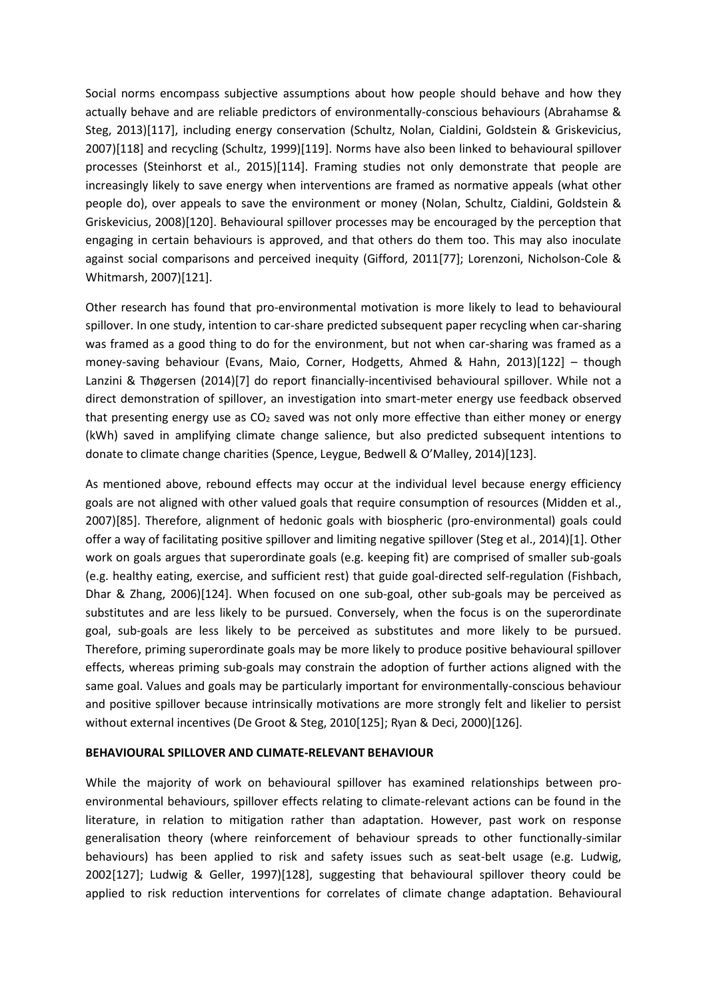Social norms encompass subjective assumptions about how people should behave and how they actually behave and are reliable predictors of environmentally-conscious behaviours (Abrahamse & Steg, 2013)[117], including energy conservation (Schultz, Nolan, Cialdini, Goldstein & Griskevicius, 2007)[118] and recycling (Schultz, 1999)[119]. Norms have also been linked to behavioural spillover processes (Steinhorst et al., 2015)[114]. Framing studies not only demonstrate that people are increasingly likely to save energy when interventions are framed as normative appeals (what other people do), over appeals to save the environment or money (Nolan, Schultz, Cialdini, Goldstein & Griskevicius, 2008)[120]. Behavioural spillover processes may be encouraged by the perception that engaging in certain behaviours is approved, and that others do them too. This may also inoculate against social comparisons and perceived inequity (Gifford, 2011[77]; Lorenzoni, Nicholson-Cole & Whitmarsh, 2007)[121].

Other research has found that pro-environmental motivation is more likely to lead to behavioural spillover. In one study, intention to car-share predicted subsequent paper recycling when car-sharing was framed as a good thing to do for the environment, but not when car-sharing was framed as a money-saving behaviour (Evans, Maio, Corner, Hodgetts, Ahmed & Hahn, 2013)[122] – though Lanzini & Thøgersen (2014)[7] do report financially-incentivised behavioural spillover. While not a direct demonstration of spillover, an investigation into smart-meter energy use feedback observed that presenting energy use as CO<sub>2</sub> saved was not only more effective than either money or energy (kWh) saved in amplifying climate change salience, but also predicted subsequent intentions to donate to climate change charities (Spence, Leygue, Bedwell & O'Malley, 2014)[123].

As mentioned above, rebound effects may occur at the individual level because energy efficiency goals are not aligned with other valued goals that require consumption of resources (Midden et al., 2007)[85]. Therefore, alignment of hedonic goals with biospheric (pro-environmental) goals could offer a way of facilitating positive spillover and limiting negative spillover (Steg et al., 2014)[1]. Other work on goals argues that superordinate goals (e.g. keeping fit) are comprised of smaller sub-goals (e.g. healthy eating, exercise, and sufficient rest) that guide goal-directed self-regulation (Fishbach, Dhar & Zhang, 2006)[124]. When focused on one sub-goal, other sub-goals may be perceived as substitutes and are less likely to be pursued. Conversely, when the focus is on the superordinate goal, sub-goals are less likely to be perceived as substitutes and more likely to be pursued. Therefore, priming superordinate goals may be more likely to produce positive behavioural spillover effects, whereas priming sub-goals may constrain the adoption of further actions aligned with the same goal. Values and goals may be particularly important for environmentally-conscious behaviour and positive spillover because intrinsically motivations are more strongly felt and likelier to persist without external incentives (De Groot & Steg, 2010[125]; Ryan & Deci, 2000)[126].

## **BEHAVIOURAL SPILLOVER AND CLIMATE-RELEVANT BEHAVIOUR**

While the majority of work on behavioural spillover has examined relationships between proenvironmental behaviours, spillover effects relating to climate-relevant actions can be found in the literature, in relation to mitigation rather than adaptation. However, past work on response generalisation theory (where reinforcement of behaviour spreads to other functionally-similar behaviours) has been applied to risk and safety issues such as seat-belt usage (e.g. Ludwig, 2002[127]; Ludwig & Geller, 1997)[128], suggesting that behavioural spillover theory could be applied to risk reduction interventions for correlates of climate change adaptation. Behavioural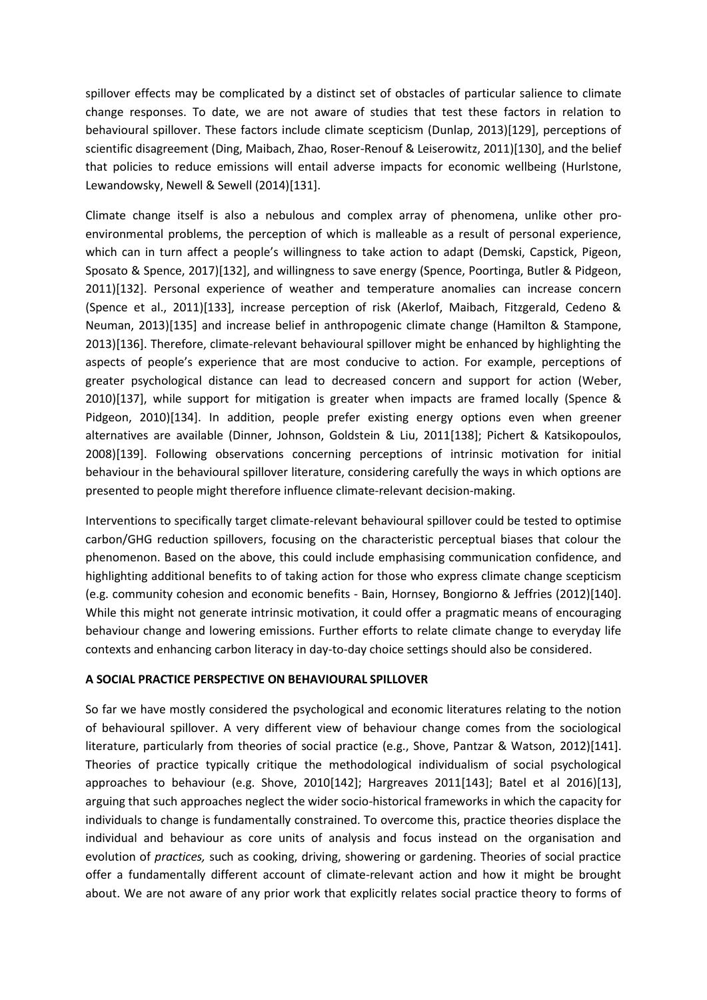spillover effects may be complicated by a distinct set of obstacles of particular salience to climate change responses. To date, we are not aware of studies that test these factors in relation to behavioural spillover. These factors include climate scepticism (Dunlap, 2013)[129], perceptions of scientific disagreement (Ding, Maibach, Zhao, Roser-Renouf & Leiserowitz, 2011)[130], and the belief that policies to reduce emissions will entail adverse impacts for economic wellbeing (Hurlstone, Lewandowsky, Newell & Sewell (2014)[131].

Climate change itself is also a nebulous and complex array of phenomena, unlike other proenvironmental problems, the perception of which is malleable as a result of personal experience, which can in turn affect a people's willingness to take action to adapt (Demski, Capstick, Pigeon, Sposato & Spence, 2017)[132], and willingness to save energy (Spence, Poortinga, Butler & Pidgeon, 2011)[132]. Personal experience of weather and temperature anomalies can increase concern (Spence et al., 2011)[133], increase perception of risk (Akerlof, Maibach, Fitzgerald, Cedeno & Neuman, 2013)[135] and increase belief in anthropogenic climate change (Hamilton & Stampone, 2013)[136]. Therefore, climate-relevant behavioural spillover might be enhanced by highlighting the aspects of people's experience that are most conducive to action. For example, perceptions of greater psychological distance can lead to decreased concern and support for action (Weber, 2010)[137], while support for mitigation is greater when impacts are framed locally (Spence & Pidgeon, 2010)[134]. In addition, people prefer existing energy options even when greener alternatives are available (Dinner, Johnson, Goldstein & Liu, 2011[138]; Pichert & Katsikopoulos, 2008)[139]. Following observations concerning perceptions of intrinsic motivation for initial behaviour in the behavioural spillover literature, considering carefully the ways in which options are presented to people might therefore influence climate-relevant decision-making.

Interventions to specifically target climate-relevant behavioural spillover could be tested to optimise carbon/GHG reduction spillovers, focusing on the characteristic perceptual biases that colour the phenomenon. Based on the above, this could include emphasising communication confidence, and highlighting additional benefits to of taking action for those who express climate change scepticism (e.g. community cohesion and economic benefits - Bain, Hornsey, Bongiorno & Jeffries (2012)[140]. While this might not generate intrinsic motivation, it could offer a pragmatic means of encouraging behaviour change and lowering emissions. Further efforts to relate climate change to everyday life contexts and enhancing carbon literacy in day-to-day choice settings should also be considered.

# **A SOCIAL PRACTICE PERSPECTIVE ON BEHAVIOURAL SPILLOVER**

So far we have mostly considered the psychological and economic literatures relating to the notion of behavioural spillover. A very different view of behaviour change comes from the sociological literature, particularly from theories of social practice (e.g., Shove, Pantzar & Watson, 2012)[141]. Theories of practice typically critique the methodological individualism of social psychological approaches to behaviour (e.g. Shove, 2010[142]; Hargreaves 2011[143]; Batel et al 2016)[13], arguing that such approaches neglect the wider socio-historical frameworks in which the capacity for individuals to change is fundamentally constrained. To overcome this, practice theories displace the individual and behaviour as core units of analysis and focus instead on the organisation and evolution of *practices,* such as cooking, driving, showering or gardening. Theories of social practice offer a fundamentally different account of climate-relevant action and how it might be brought about. We are not aware of any prior work that explicitly relates social practice theory to forms of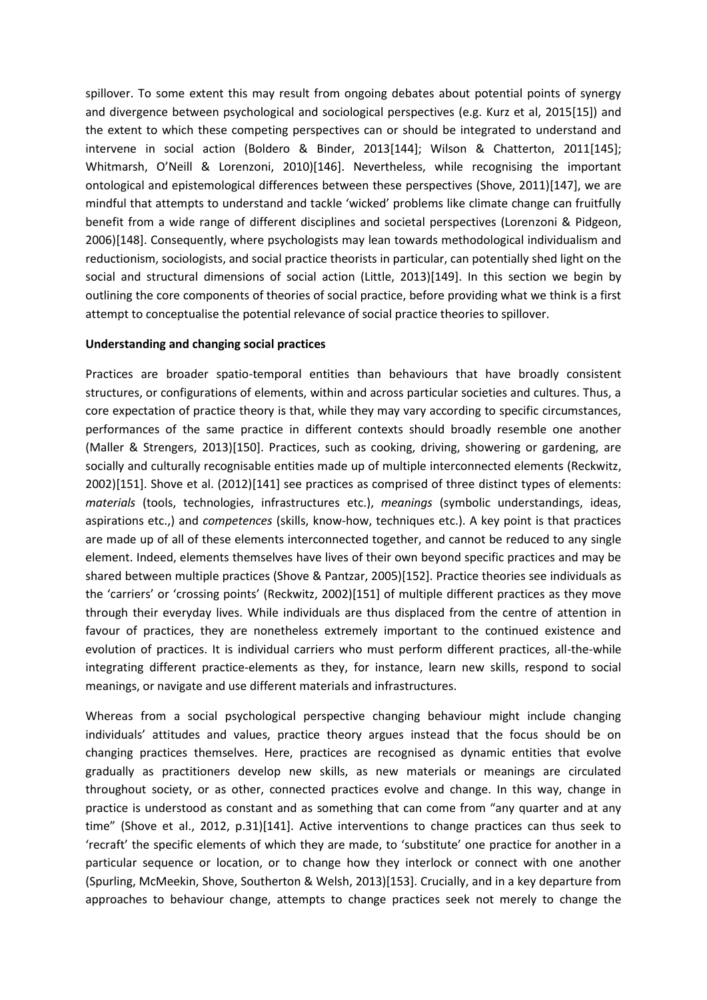spillover. To some extent this may result from ongoing debates about potential points of synergy and divergence between psychological and sociological perspectives (e.g. Kurz et al, 2015[15]) and the extent to which these competing perspectives can or should be integrated to understand and intervene in social action (Boldero & Binder, 2013[144]; Wilson & Chatterton, 2011[145]; Whitmarsh, O'Neill & Lorenzoni, 2010)[146]. Nevertheless, while recognising the important ontological and epistemological differences between these perspectives (Shove, 2011)[147], we are mindful that attempts to understand and tackle 'wicked' problems like climate change can fruitfully benefit from a wide range of different disciplines and societal perspectives (Lorenzoni & Pidgeon, 2006)[148]. Consequently, where psychologists may lean towards methodological individualism and reductionism, sociologists, and social practice theorists in particular, can potentially shed light on the social and structural dimensions of social action (Little, 2013)[149]. In this section we begin by outlining the core components of theories of social practice, before providing what we think is a first attempt to conceptualise the potential relevance of social practice theories to spillover.

## **Understanding and changing social practices**

Practices are broader spatio-temporal entities than behaviours that have broadly consistent structures, or configurations of elements, within and across particular societies and cultures. Thus, a core expectation of practice theory is that, while they may vary according to specific circumstances, performances of the same practice in different contexts should broadly resemble one another (Maller & Strengers, 2013)[150]. Practices, such as cooking, driving, showering or gardening, are socially and culturally recognisable entities made up of multiple interconnected elements (Reckwitz, 2002)[151]. Shove et al. (2012)[141] see practices as comprised of three distinct types of elements: *materials* (tools, technologies, infrastructures etc.), *meanings* (symbolic understandings, ideas, aspirations etc.,) and *competences* (skills, know-how, techniques etc.). A key point is that practices are made up of all of these elements interconnected together, and cannot be reduced to any single element. Indeed, elements themselves have lives of their own beyond specific practices and may be shared between multiple practices (Shove & Pantzar, 2005)[152]. Practice theories see individuals as the 'carriers' or 'crossing points' (Reckwitz, 2002)[151] of multiple different practices as they move through their everyday lives. While individuals are thus displaced from the centre of attention in favour of practices, they are nonetheless extremely important to the continued existence and evolution of practices. It is individual carriers who must perform different practices, all-the-while integrating different practice-elements as they, for instance, learn new skills, respond to social meanings, or navigate and use different materials and infrastructures.

Whereas from a social psychological perspective changing behaviour might include changing individuals' attitudes and values, practice theory argues instead that the focus should be on changing practices themselves. Here, practices are recognised as dynamic entities that evolve gradually as practitioners develop new skills, as new materials or meanings are circulated throughout society, or as other, connected practices evolve and change. In this way, change in practice is understood as constant and as something that can come from "any quarter and at any time" (Shove et al., 2012, p.31)[141]. Active interventions to change practices can thus seek to 'recraft' the specific elements of which they are made, to 'substitute' one practice for another in a particular sequence or location, or to change how they interlock or connect with one another (Spurling, McMeekin, Shove, Southerton & Welsh, 2013)[153]. Crucially, and in a key departure from approaches to behaviour change, attempts to change practices seek not merely to change the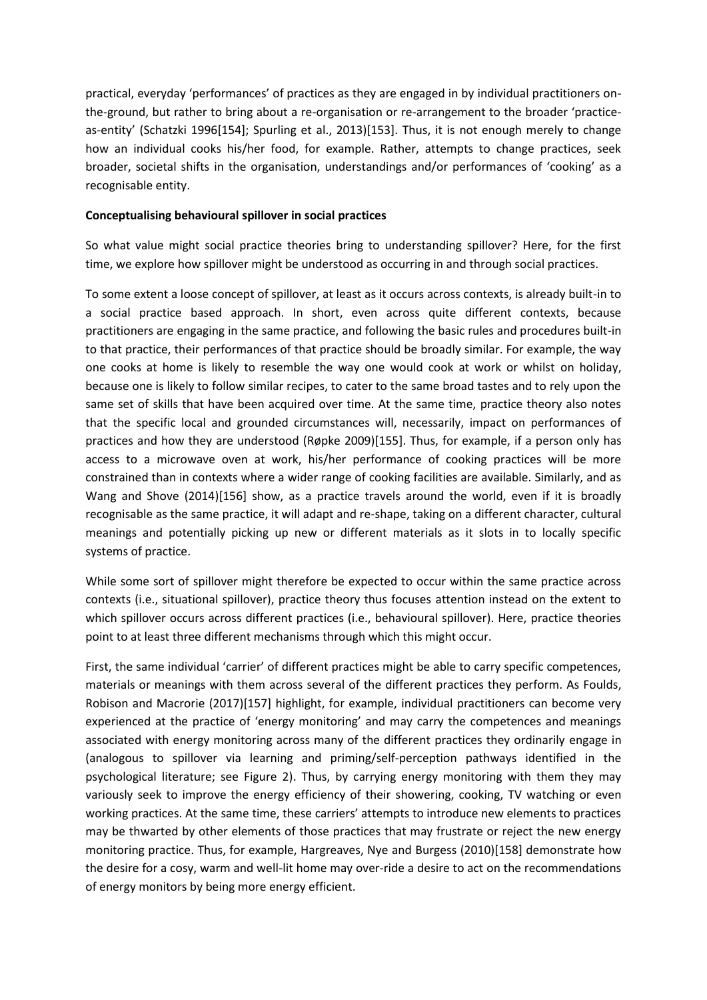practical, everyday 'performances' of practices as they are engaged in by individual practitioners onthe-ground, but rather to bring about a re-organisation or re-arrangement to the broader 'practiceas-entity' (Schatzki 1996[154]; Spurling et al., 2013)[153]. Thus, it is not enough merely to change how an individual cooks his/her food, for example. Rather, attempts to change practices, seek broader, societal shifts in the organisation, understandings and/or performances of 'cooking' as a recognisable entity.

# **Conceptualising behavioural spillover in social practices**

So what value might social practice theories bring to understanding spillover? Here, for the first time, we explore how spillover might be understood as occurring in and through social practices.

To some extent a loose concept of spillover, at least as it occurs across contexts, is already built-in to a social practice based approach. In short, even across quite different contexts, because practitioners are engaging in the same practice, and following the basic rules and procedures built-in to that practice, their performances of that practice should be broadly similar. For example, the way one cooks at home is likely to resemble the way one would cook at work or whilst on holiday, because one is likely to follow similar recipes, to cater to the same broad tastes and to rely upon the same set of skills that have been acquired over time. At the same time, practice theory also notes that the specific local and grounded circumstances will, necessarily, impact on performances of practices and how they are understood (Røpke 2009)[155]. Thus, for example, if a person only has access to a microwave oven at work, his/her performance of cooking practices will be more constrained than in contexts where a wider range of cooking facilities are available. Similarly, and as Wang and Shove (2014)[156] show, as a practice travels around the world, even if it is broadly recognisable as the same practice, it will adapt and re-shape, taking on a different character, cultural meanings and potentially picking up new or different materials as it slots in to locally specific systems of practice.

While some sort of spillover might therefore be expected to occur within the same practice across contexts (i.e., situational spillover), practice theory thus focuses attention instead on the extent to which spillover occurs across different practices (i.e., behavioural spillover). Here, practice theories point to at least three different mechanisms through which this might occur.

First, the same individual 'carrier' of different practices might be able to carry specific competences, materials or meanings with them across several of the different practices they perform. As Foulds, Robison and Macrorie (2017)[157] highlight, for example, individual practitioners can become very experienced at the practice of 'energy monitoring' and may carry the competences and meanings associated with energy monitoring across many of the different practices they ordinarily engage in (analogous to spillover via learning and priming/self-perception pathways identified in the psychological literature; see Figure 2). Thus, by carrying energy monitoring with them they may variously seek to improve the energy efficiency of their showering, cooking, TV watching or even working practices. At the same time, these carriers' attempts to introduce new elements to practices may be thwarted by other elements of those practices that may frustrate or reject the new energy monitoring practice. Thus, for example, Hargreaves, Nye and Burgess (2010)[158] demonstrate how the desire for a cosy, warm and well-lit home may over-ride a desire to act on the recommendations of energy monitors by being more energy efficient.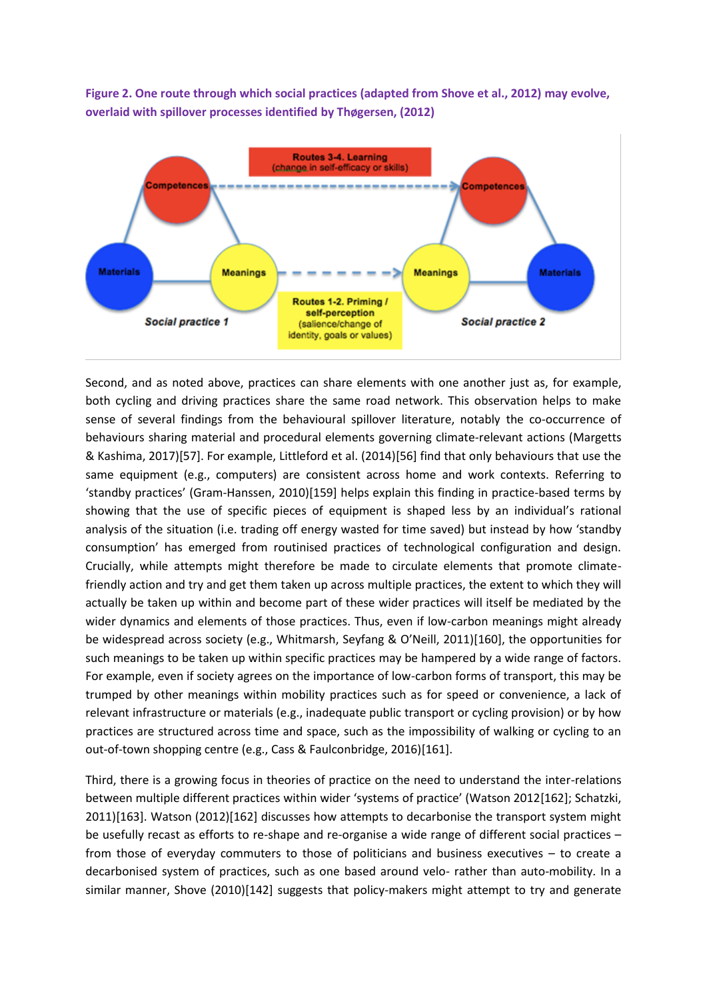**Figure 2. One route through which social practices (adapted from Shove et al., 2012) may evolve, overlaid with spillover processes identified by Thøgersen, (2012)**



Second, and as noted above, practices can share elements with one another just as, for example, both cycling and driving practices share the same road network. This observation helps to make sense of several findings from the behavioural spillover literature, notably the co-occurrence of behaviours sharing material and procedural elements governing climate-relevant actions (Margetts & Kashima, 2017)[57]. For example, Littleford et al. (2014)[56] find that only behaviours that use the same equipment (e.g., computers) are consistent across home and work contexts. Referring to 'standby practices' (Gram-Hanssen, 2010)[159] helps explain this finding in practice-based terms by showing that the use of specific pieces of equipment is shaped less by an individual's rational analysis of the situation (i.e. trading off energy wasted for time saved) but instead by how 'standby consumption' has emerged from routinised practices of technological configuration and design. Crucially, while attempts might therefore be made to circulate elements that promote climatefriendly action and try and get them taken up across multiple practices, the extent to which they will actually be taken up within and become part of these wider practices will itself be mediated by the wider dynamics and elements of those practices. Thus, even if low-carbon meanings might already be widespread across society (e.g., Whitmarsh, Seyfang & O'Neill, 2011)[160], the opportunities for such meanings to be taken up within specific practices may be hampered by a wide range of factors. For example, even if society agrees on the importance of low-carbon forms of transport, this may be trumped by other meanings within mobility practices such as for speed or convenience, a lack of relevant infrastructure or materials (e.g., inadequate public transport or cycling provision) or by how practices are structured across time and space, such as the impossibility of walking or cycling to an out-of-town shopping centre (e.g., Cass & Faulconbridge, 2016)[161].

Third, there is a growing focus in theories of practice on the need to understand the inter-relations between multiple different practices within wider 'systems of practice' (Watson 2012[162]; Schatzki, 2011)[163]. Watson (2012)[162] discusses how attempts to decarbonise the transport system might be usefully recast as efforts to re-shape and re-organise a wide range of different social practices – from those of everyday commuters to those of politicians and business executives – to create a decarbonised system of practices, such as one based around velo- rather than auto-mobility. In a similar manner, Shove (2010)[142] suggests that policy-makers might attempt to try and generate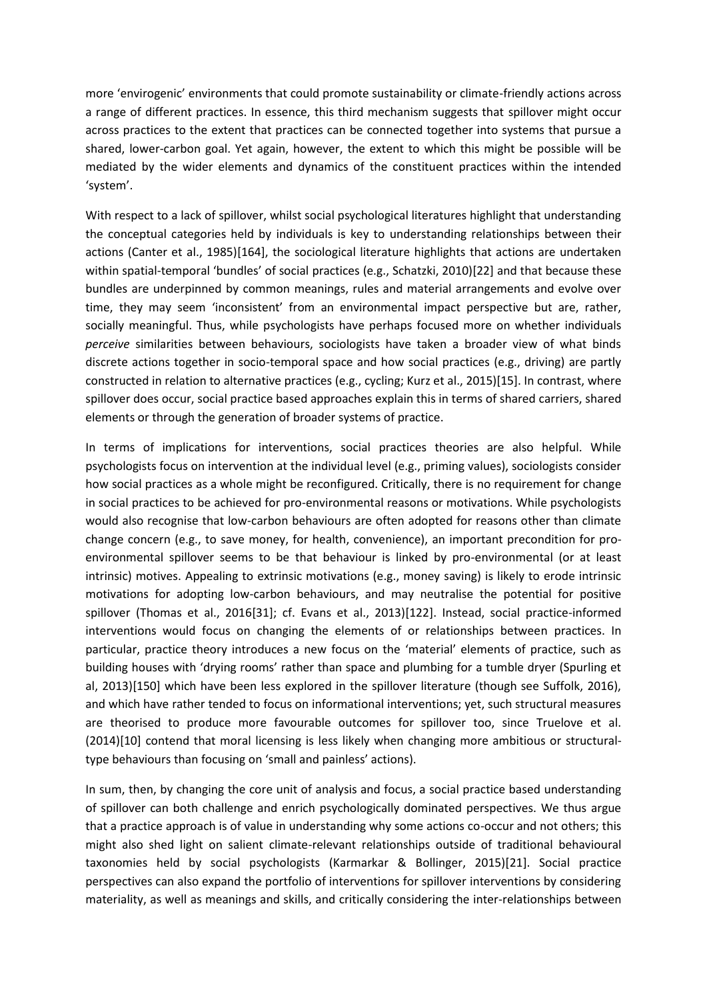more 'envirogenic' environments that could promote sustainability or climate-friendly actions across a range of different practices. In essence, this third mechanism suggests that spillover might occur across practices to the extent that practices can be connected together into systems that pursue a shared, lower-carbon goal. Yet again, however, the extent to which this might be possible will be mediated by the wider elements and dynamics of the constituent practices within the intended 'system'.

With respect to a lack of spillover, whilst social psychological literatures highlight that understanding the conceptual categories held by individuals is key to understanding relationships between their actions (Canter et al., 1985)[164], the sociological literature highlights that actions are undertaken within spatial-temporal 'bundles' of social practices (e.g., Schatzki, 2010)[22] and that because these bundles are underpinned by common meanings, rules and material arrangements and evolve over time, they may seem 'inconsistent' from an environmental impact perspective but are, rather, socially meaningful. Thus, while psychologists have perhaps focused more on whether individuals *perceive* similarities between behaviours, sociologists have taken a broader view of what binds discrete actions together in socio-temporal space and how social practices (e.g., driving) are partly constructed in relation to alternative practices (e.g., cycling; Kurz et al., 2015)[15]. In contrast, where spillover does occur, social practice based approaches explain this in terms of shared carriers, shared elements or through the generation of broader systems of practice.

In terms of implications for interventions, social practices theories are also helpful. While psychologists focus on intervention at the individual level (e.g., priming values), sociologists consider how social practices as a whole might be reconfigured. Critically, there is no requirement for change in social practices to be achieved for pro-environmental reasons or motivations. While psychologists would also recognise that low-carbon behaviours are often adopted for reasons other than climate change concern (e.g., to save money, for health, convenience), an important precondition for proenvironmental spillover seems to be that behaviour is linked by pro-environmental (or at least intrinsic) motives. Appealing to extrinsic motivations (e.g., money saving) is likely to erode intrinsic motivations for adopting low-carbon behaviours, and may neutralise the potential for positive spillover (Thomas et al., 2016[31]; cf. Evans et al., 2013)[122]. Instead, social practice-informed interventions would focus on changing the elements of or relationships between practices. In particular, practice theory introduces a new focus on the 'material' elements of practice, such as building houses with 'drying rooms' rather than space and plumbing for a tumble dryer (Spurling et al, 2013)[150] which have been less explored in the spillover literature (though see Suffolk, 2016), and which have rather tended to focus on informational interventions; yet, such structural measures are theorised to produce more favourable outcomes for spillover too, since Truelove et al. (2014)[10] contend that moral licensing is less likely when changing more ambitious or structuraltype behaviours than focusing on 'small and painless' actions).

In sum, then, by changing the core unit of analysis and focus, a social practice based understanding of spillover can both challenge and enrich psychologically dominated perspectives. We thus argue that a practice approach is of value in understanding why some actions co-occur and not others; this might also shed light on salient climate-relevant relationships outside of traditional behavioural taxonomies held by social psychologists (Karmarkar & Bollinger, 2015)[21]. Social practice perspectives can also expand the portfolio of interventions for spillover interventions by considering materiality, as well as meanings and skills, and critically considering the inter-relationships between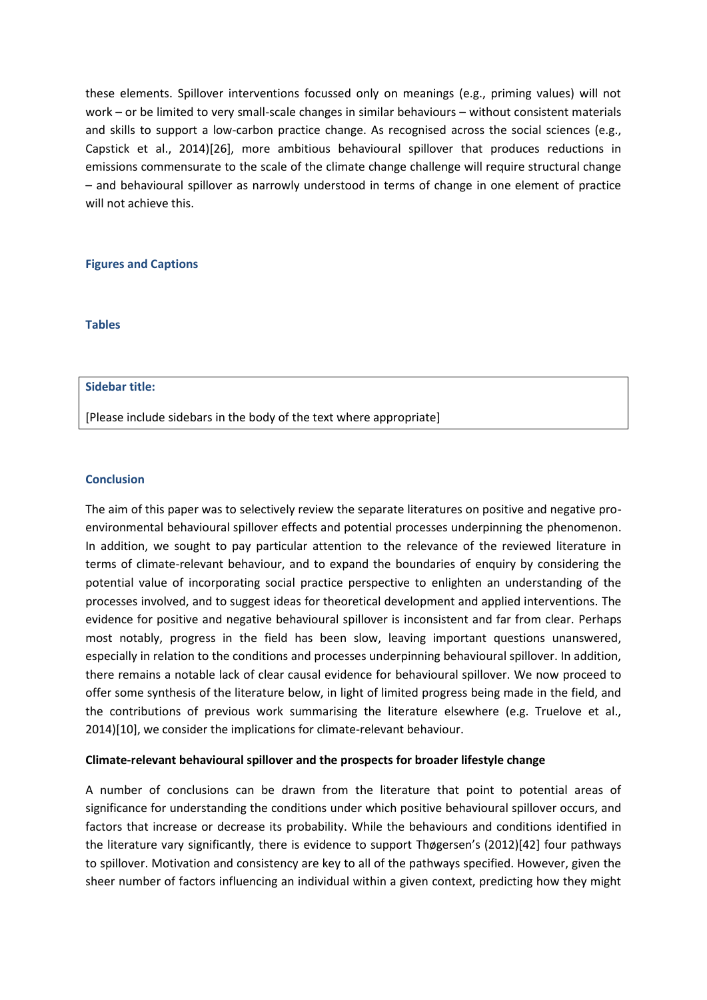these elements. Spillover interventions focussed only on meanings (e.g., priming values) will not work – or be limited to very small-scale changes in similar behaviours – without consistent materials and skills to support a low-carbon practice change. As recognised across the social sciences (e.g., Capstick et al., 2014)[26], more ambitious behavioural spillover that produces reductions in emissions commensurate to the scale of the climate change challenge will require structural change – and behavioural spillover as narrowly understood in terms of change in one element of practice will not achieve this.

# **Figures and Captions**

**Tables**

#### **Sidebar title:**

[Please include sidebars in the body of the text where appropriate]

## **Conclusion**

The aim of this paper was to selectively review the separate literatures on positive and negative proenvironmental behavioural spillover effects and potential processes underpinning the phenomenon. In addition, we sought to pay particular attention to the relevance of the reviewed literature in terms of climate-relevant behaviour, and to expand the boundaries of enquiry by considering the potential value of incorporating social practice perspective to enlighten an understanding of the processes involved, and to suggest ideas for theoretical development and applied interventions. The evidence for positive and negative behavioural spillover is inconsistent and far from clear. Perhaps most notably, progress in the field has been slow, leaving important questions unanswered, especially in relation to the conditions and processes underpinning behavioural spillover. In addition, there remains a notable lack of clear causal evidence for behavioural spillover. We now proceed to offer some synthesis of the literature below, in light of limited progress being made in the field, and the contributions of previous work summarising the literature elsewhere (e.g. Truelove et al., 2014)[10], we consider the implications for climate-relevant behaviour.

## **Climate-relevant behavioural spillover and the prospects for broader lifestyle change**

A number of conclusions can be drawn from the literature that point to potential areas of significance for understanding the conditions under which positive behavioural spillover occurs, and factors that increase or decrease its probability. While the behaviours and conditions identified in the literature vary significantly, there is evidence to support Thøgersen's (2012)[42] four pathways to spillover. Motivation and consistency are key to all of the pathways specified. However, given the sheer number of factors influencing an individual within a given context, predicting how they might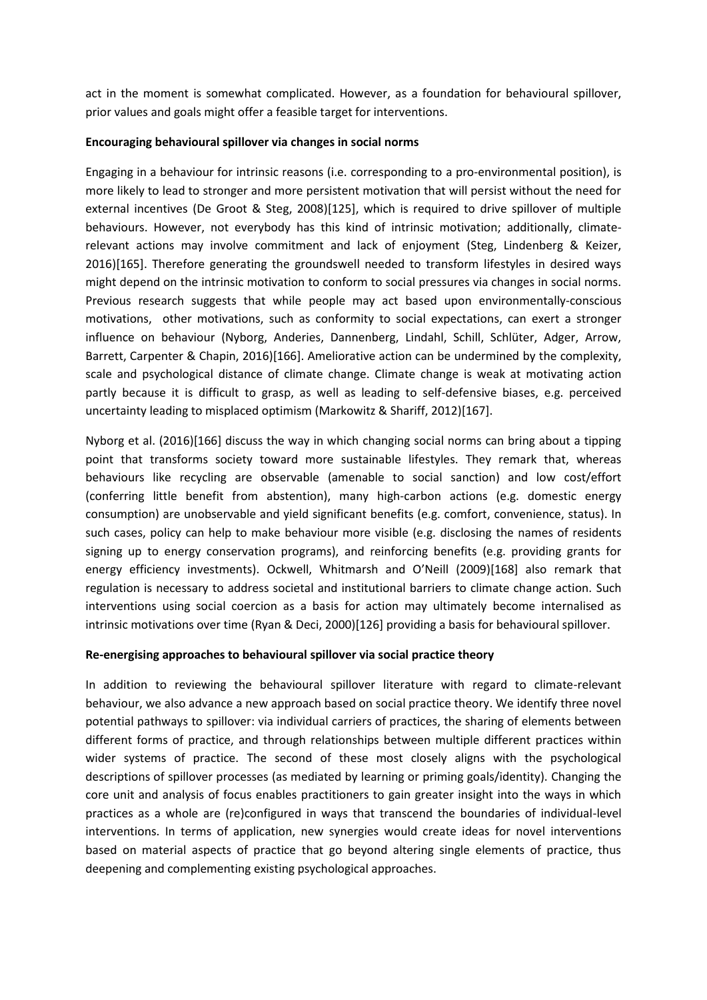act in the moment is somewhat complicated. However, as a foundation for behavioural spillover, prior values and goals might offer a feasible target for interventions.

# **Encouraging behavioural spillover via changes in social norms**

Engaging in a behaviour for intrinsic reasons (i.e. corresponding to a pro-environmental position), is more likely to lead to stronger and more persistent motivation that will persist without the need for external incentives (De Groot & Steg, 2008)[125], which is required to drive spillover of multiple behaviours. However, not everybody has this kind of intrinsic motivation; additionally, climaterelevant actions may involve commitment and lack of enjoyment (Steg, Lindenberg & Keizer, 2016)[165]. Therefore generating the groundswell needed to transform lifestyles in desired ways might depend on the intrinsic motivation to conform to social pressures via changes in social norms. Previous research suggests that while people may act based upon environmentally-conscious motivations, other motivations, such as conformity to social expectations, can exert a stronger influence on behaviour (Nyborg, Anderies, Dannenberg, Lindahl, Schill, Schlüter, Adger, Arrow, Barrett, Carpenter & Chapin, 2016)[166]. Ameliorative action can be undermined by the complexity, scale and psychological distance of climate change. Climate change is weak at motivating action partly because it is difficult to grasp, as well as leading to self-defensive biases, e.g. perceived uncertainty leading to misplaced optimism (Markowitz & Shariff, 2012)[167].

Nyborg et al. (2016)[166] discuss the way in which changing social norms can bring about a tipping point that transforms society toward more sustainable lifestyles. They remark that, whereas behaviours like recycling are observable (amenable to social sanction) and low cost/effort (conferring little benefit from abstention), many high-carbon actions (e.g. domestic energy consumption) are unobservable and yield significant benefits (e.g. comfort, convenience, status). In such cases, policy can help to make behaviour more visible (e.g. disclosing the names of residents signing up to energy conservation programs), and reinforcing benefits (e.g. providing grants for energy efficiency investments). Ockwell, Whitmarsh and O'Neill (2009)[168] also remark that regulation is necessary to address societal and institutional barriers to climate change action. Such interventions using social coercion as a basis for action may ultimately become internalised as intrinsic motivations over time (Ryan & Deci, 2000)[126] providing a basis for behavioural spillover.

# **Re-energising approaches to behavioural spillover via social practice theory**

In addition to reviewing the behavioural spillover literature with regard to climate-relevant behaviour, we also advance a new approach based on social practice theory. We identify three novel potential pathways to spillover: via individual carriers of practices, the sharing of elements between different forms of practice, and through relationships between multiple different practices within wider systems of practice. The second of these most closely aligns with the psychological descriptions of spillover processes (as mediated by learning or priming goals/identity). Changing the core unit and analysis of focus enables practitioners to gain greater insight into the ways in which practices as a whole are (re)configured in ways that transcend the boundaries of individual-level interventions. In terms of application, new synergies would create ideas for novel interventions based on material aspects of practice that go beyond altering single elements of practice, thus deepening and complementing existing psychological approaches.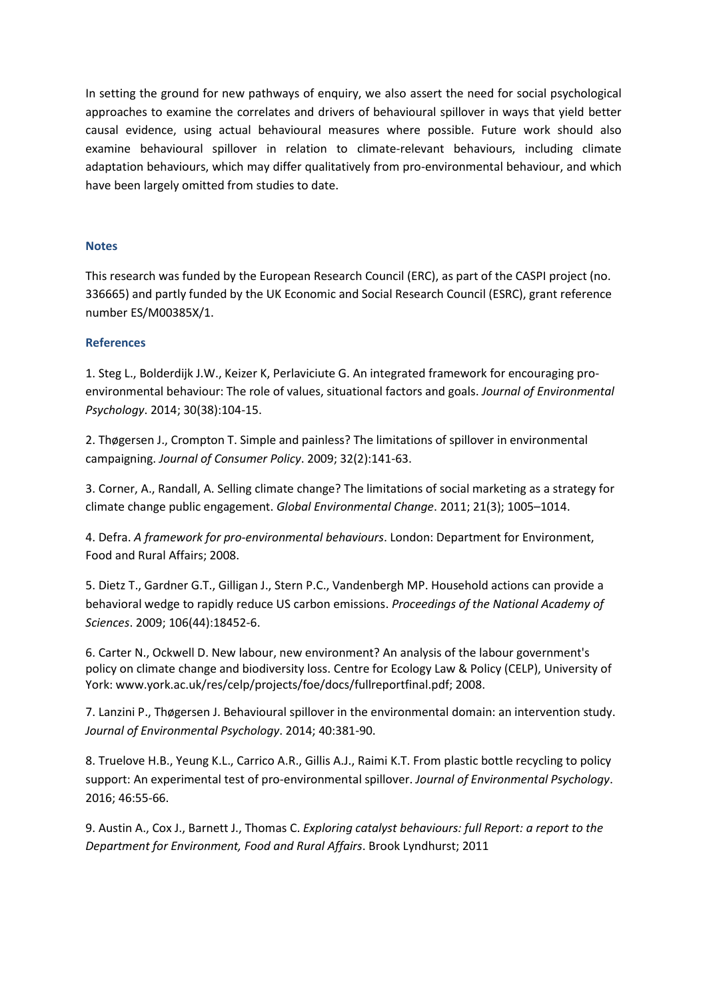In setting the ground for new pathways of enquiry, we also assert the need for social psychological approaches to examine the correlates and drivers of behavioural spillover in ways that yield better causal evidence, using actual behavioural measures where possible. Future work should also examine behavioural spillover in relation to climate-relevant behaviours, including climate adaptation behaviours, which may differ qualitatively from pro-environmental behaviour, and which have been largely omitted from studies to date.

# **Notes**

This research was funded by the European Research Council (ERC), as part of the CASPI project (no. 336665) and partly funded by the UK Economic and Social Research Council (ESRC), grant reference number ES/M00385X/1.

# **References**

1. Steg L., Bolderdijk J.W., Keizer K, Perlaviciute G. An integrated framework for encouraging proenvironmental behaviour: The role of values, situational factors and goals. *Journal of Environmental Psychology*. 2014; 30(38):104-15.

2. Thøgersen J., Crompton T. Simple and painless? The limitations of spillover in environmental campaigning. *Journal of Consumer Policy*. 2009; 32(2):141-63.

3. Corner, A., Randall, A. Selling climate change? The limitations of social marketing as a strategy for climate change public engagement. *Global Environmental Change*. 2011; 21(3); 1005–1014.

4. Defra. *A framework for pro-environmental behaviours*. London: Department for Environment, Food and Rural Affairs; 2008.

5. Dietz T., Gardner G.T., Gilligan J., Stern P.C., Vandenbergh MP. Household actions can provide a behavioral wedge to rapidly reduce US carbon emissions. *Proceedings of the National Academy of Sciences*. 2009; 106(44):18452-6.

6. Carter N., Ockwell D. New labour, new environment? An analysis of the labour government's policy on climate change and biodiversity loss. Centre for Ecology Law & Policy (CELP), University of York: www.york.ac.uk/res/celp/projects/foe/docs/fullreportfinal.pdf; 2008.

7. Lanzini P., Thøgersen J. Behavioural spillover in the environmental domain: an intervention study. *Journal of Environmental Psychology*. 2014; 40:381-90.

8. Truelove H.B., Yeung K.L., Carrico A.R., Gillis A.J., Raimi K.T. From plastic bottle recycling to policy support: An experimental test of pro-environmental spillover. *Journal of Environmental Psychology*. 2016; 46:55-66.

9. Austin A., Cox J., Barnett J., Thomas C. *Exploring catalyst behaviours: full Report: a report to the Department for Environment, Food and Rural Affairs*. Brook Lyndhurst; 2011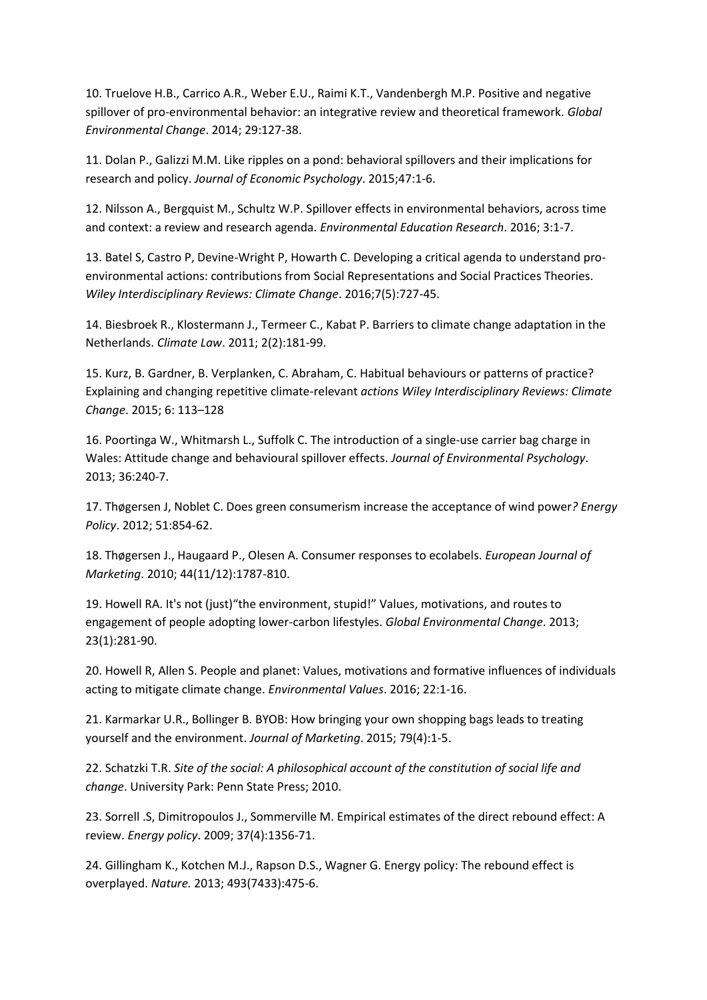10. Truelove H.B., Carrico A.R., Weber E.U., Raimi K.T., Vandenbergh M.P. Positive and negative spillover of pro-environmental behavior: an integrative review and theoretical framework. *Global Environmental Change*. 2014; 29:127-38.

11. Dolan P., Galizzi M.M. Like ripples on a pond: behavioral spillovers and their implications for research and policy. *Journal of Economic Psychology*. 2015;47:1-6.

12. Nilsson A., Bergquist M., Schultz W.P. Spillover effects in environmental behaviors, across time and context: a review and research agenda. *Environmental Education Research*. 2016; 3:1-7.

13. Batel S, Castro P, Devine-Wright P, Howarth C. Developing a critical agenda to understand proenvironmental actions: contributions from Social Representations and Social Practices Theories. *Wiley Interdisciplinary Reviews: Climate Change*. 2016;7(5):727-45.

14. Biesbroek R., Klostermann J., Termeer C., Kabat P. Barriers to climate change adaptation in the Netherlands. *Climate Law*. 2011; 2(2):181-99.

15. Kurz, B. Gardner, B. Verplanken, C. Abraham, C. Habitual behaviours or patterns of practice? Explaining and changing repetitive climate-relevant *actions Wiley Interdisciplinary Reviews: Climate Change*. 2015; 6: 113–128

16. Poortinga W., Whitmarsh L., Suffolk C. The introduction of a single-use carrier bag charge in Wales: Attitude change and behavioural spillover effects. *Journal of Environmental Psychology*. 2013; 36:240-7.

17. Thøgersen J, Noblet C. Does green consumerism increase the acceptance of wind power*? Energy Policy*. 2012; 51:854-62.

18. Thøgersen J., Haugaard P., Olesen A. Consumer responses to ecolabels. *European Journal of Marketing*. 2010; 44(11/12):1787-810.

19. Howell RA. It's not (just)"the environment, stupid!" Values, motivations, and routes to engagement of people adopting lower-carbon lifestyles. *Global Environmental Change*. 2013; 23(1):281-90.

20. Howell R, Allen S. People and planet: Values, motivations and formative influences of individuals acting to mitigate climate change. *Environmental Values*. 2016; 22:1-16.

21. Karmarkar U.R., Bollinger B. BYOB: How bringing your own shopping bags leads to treating yourself and the environment. *Journal of Marketing*. 2015; 79(4):1-5.

22. Schatzki T.R. *Site of the social: A philosophical account of the constitution of social life and change*. University Park: Penn State Press; 2010.

23. Sorrell .S, Dimitropoulos J., Sommerville M. Empirical estimates of the direct rebound effect: A review. *Energy policy*. 2009; 37(4):1356-71.

24. Gillingham K., Kotchen M.J., Rapson D.S., Wagner G. Energy policy: The rebound effect is overplayed. *Nature.* 2013; 493(7433):475-6.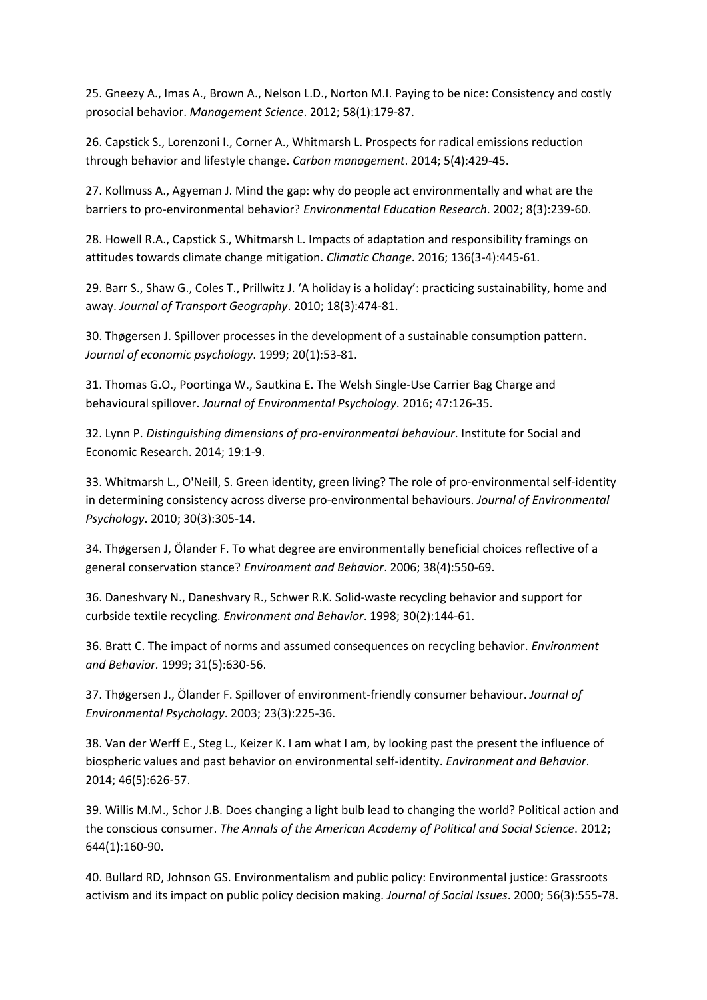25. Gneezy A., Imas A., Brown A., Nelson L.D., Norton M.I. Paying to be nice: Consistency and costly prosocial behavior. *Management Science*. 2012; 58(1):179-87.

26. Capstick S., Lorenzoni I., Corner A., Whitmarsh L. Prospects for radical emissions reduction through behavior and lifestyle change. *Carbon management*. 2014; 5(4):429-45.

27. Kollmuss A., Agyeman J. Mind the gap: why do people act environmentally and what are the barriers to pro-environmental behavior? *Environmental Education Research*. 2002; 8(3):239-60.

28. Howell R.A., Capstick S., Whitmarsh L. Impacts of adaptation and responsibility framings on attitudes towards climate change mitigation. *Climatic Change*. 2016; 136(3-4):445-61.

29. Barr S., Shaw G., Coles T., Prillwitz J. 'A holiday is a holiday': practicing sustainability, home and away. *Journal of Transport Geography*. 2010; 18(3):474-81.

30. Thøgersen J. Spillover processes in the development of a sustainable consumption pattern. *Journal of economic psychology*. 1999; 20(1):53-81.

31. Thomas G.O., Poortinga W., Sautkina E. The Welsh Single-Use Carrier Bag Charge and behavioural spillover. *Journal of Environmental Psychology*. 2016; 47:126-35.

32. Lynn P. *Distinguishing dimensions of pro-environmental behaviour*. Institute for Social and Economic Research. 2014; 19:1-9.

33. Whitmarsh L., O'Neill, S. Green identity, green living? The role of pro-environmental self-identity in determining consistency across diverse pro-environmental behaviours. *Journal of Environmental Psychology*. 2010; 30(3):305-14.

34. Thøgersen J, Ölander F. To what degree are environmentally beneficial choices reflective of a general conservation stance? *Environment and Behavior*. 2006; 38(4):550-69.

36. Daneshvary N., Daneshvary R., Schwer R.K. Solid-waste recycling behavior and support for curbside textile recycling. *Environment and Behavior*. 1998; 30(2):144-61.

36. Bratt C. The impact of norms and assumed consequences on recycling behavior. *Environment and Behavior.* 1999; 31(5):630-56.

37. Thøgersen J., Ölander F. Spillover of environment-friendly consumer behaviour. *Journal of Environmental Psychology*. 2003; 23(3):225-36.

38. Van der Werff E., Steg L., Keizer K. I am what I am, by looking past the present the influence of biospheric values and past behavior on environmental self-identity. *Environment and Behavior*. 2014; 46(5):626-57.

39. Willis M.M., Schor J.B. Does changing a light bulb lead to changing the world? Political action and the conscious consumer. *The Annals of the American Academy of Political and Social Science*. 2012; 644(1):160-90.

40. Bullard RD, Johnson GS. Environmentalism and public policy: Environmental justice: Grassroots activism and its impact on public policy decision making*. Journal of Social Issues*. 2000; 56(3):555-78.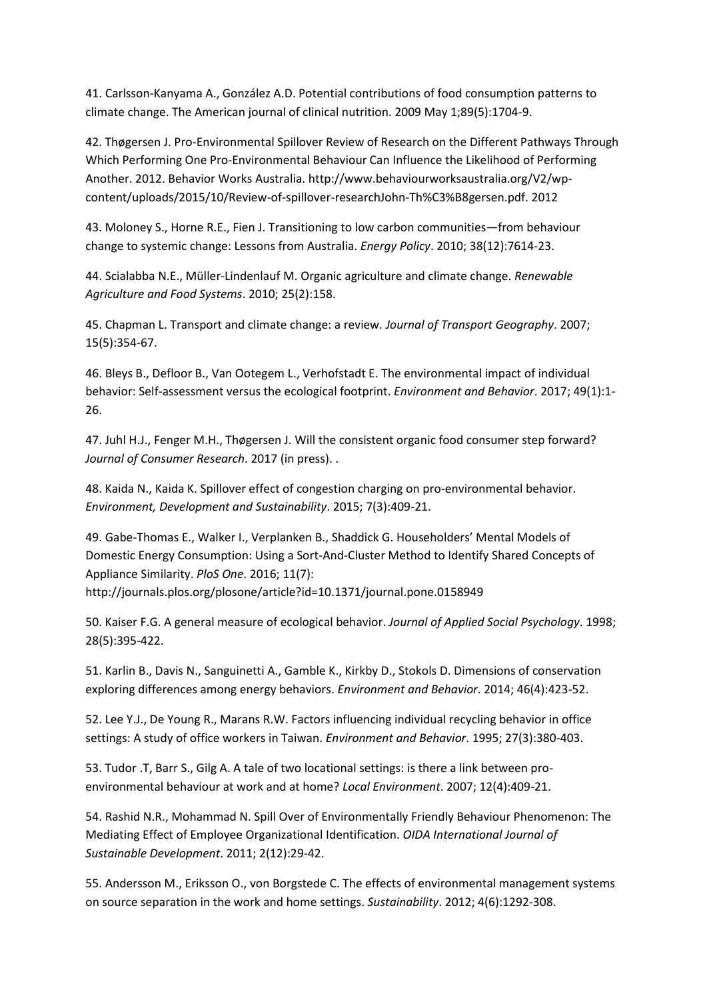41. Carlsson-Kanyama A., González A.D. Potential contributions of food consumption patterns to climate change. The American journal of clinical nutrition. 2009 May 1;89(5):1704-9.

42. Thøgersen J. Pro-Environmental Spillover Review of Research on the Different Pathways Through Which Performing One Pro-Environmental Behaviour Can Influence the Likelihood of Performing Another. 2012. Behavior Works Australia. http://www.behaviourworksaustralia.org/V2/wpcontent/uploads/2015/10/Review-of-spillover-researchJohn-Th%C3%B8gersen.pdf. 2012

43. Moloney S., Horne R.E., Fien J. Transitioning to low carbon communities—from behaviour change to systemic change: Lessons from Australia. *Energy Policy*. 2010; 38(12):7614-23.

44. Scialabba N.E., Müller-Lindenlauf M. Organic agriculture and climate change. *Renewable Agriculture and Food Systems*. 2010; 25(2):158.

45. Chapman L. Transport and climate change: a review*. Journal of Transport Geography*. 2007; 15(5):354-67.

46. Bleys B., Defloor B., Van Ootegem L., Verhofstadt E. The environmental impact of individual behavior: Self-assessment versus the ecological footprint. *Environment and Behavior*. 2017; 49(1):1- 26.

47. Juhl H.J., Fenger M.H., Thøgersen J. Will the consistent organic food consumer step forward? *Journal of Consumer Research*. 2017 (in press). .

48. Kaida N., Kaida K. Spillover effect of congestion charging on pro-environmental behavior. *Environment, Development and Sustainability*. 2015; 7(3):409-21.

49. Gabe-Thomas E., Walker I., Verplanken B., Shaddick G. Householders' Mental Models of Domestic Energy Consumption: Using a Sort-And-Cluster Method to Identify Shared Concepts of Appliance Similarity. *PloS One*. 2016; 11(7): http://journals.plos.org/plosone/article?id=10.1371/journal.pone.0158949

50. Kaiser F.G. A general measure of ecological behavior. *Journal of Applied Social Psychology*. 1998; 28(5):395-422.

51. Karlin B., Davis N., Sanguinetti A., Gamble K., Kirkby D., Stokols D. Dimensions of conservation exploring differences among energy behaviors. *Environment and Behavior*. 2014; 46(4):423-52.

52. Lee Y.J., De Young R., Marans R.W. Factors influencing individual recycling behavior in office settings: A study of office workers in Taiwan. *Environment and Behavior*. 1995; 27(3):380-403.

53. Tudor .T, Barr S., Gilg A. A tale of two locational settings: is there a link between proenvironmental behaviour at work and at home? *Local Environment*. 2007; 12(4):409-21.

54. Rashid N.R., Mohammad N. Spill Over of Environmentally Friendly Behaviour Phenomenon: The Mediating Effect of Employee Organizational Identification. *OIDA International Journal of Sustainable Development*. 2011; 2(12):29-42.

55. Andersson M., Eriksson O., von Borgstede C. The effects of environmental management systems on source separation in the work and home settings. *Sustainability*. 2012; 4(6):1292-308.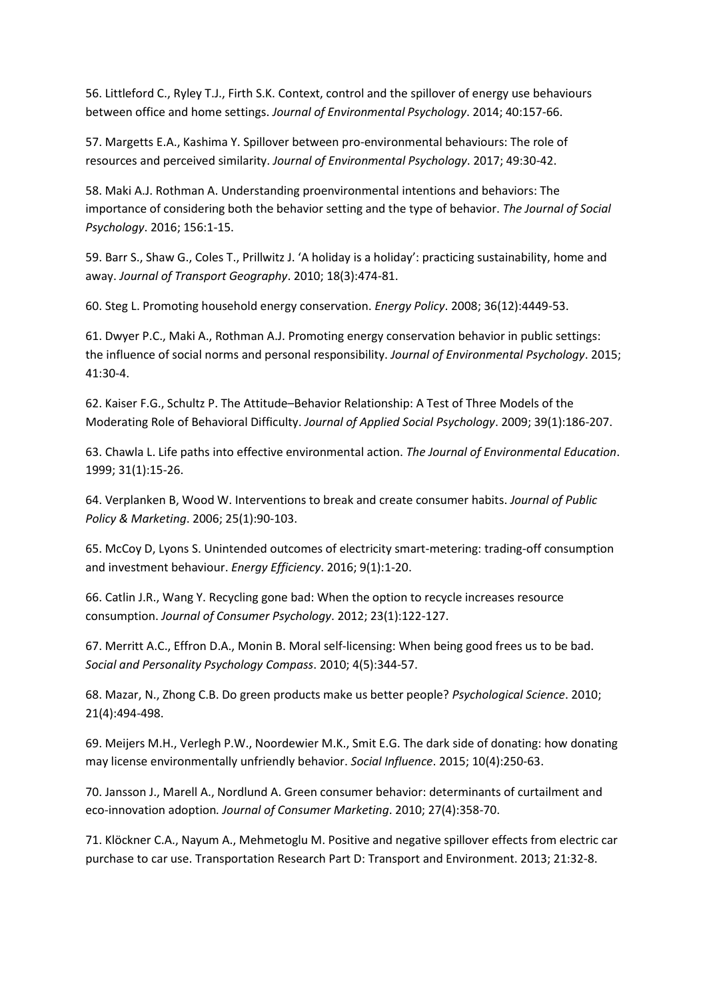56. Littleford C., Ryley T.J., Firth S.K. Context, control and the spillover of energy use behaviours between office and home settings. *Journal of Environmental Psychology*. 2014; 40:157-66.

57. Margetts E.A., Kashima Y. Spillover between pro-environmental behaviours: The role of resources and perceived similarity. *Journal of Environmental Psychology*. 2017; 49:30-42.

58. Maki A.J. Rothman A. Understanding proenvironmental intentions and behaviors: The importance of considering both the behavior setting and the type of behavior. *The Journal of Social Psychology*. 2016; 156:1-15.

59. Barr S., Shaw G., Coles T., Prillwitz J. 'A holiday is a holiday': practicing sustainability, home and away. *Journal of Transport Geography*. 2010; 18(3):474-81.

60. Steg L. Promoting household energy conservation. *Energy Policy*. 2008; 36(12):4449-53.

61. Dwyer P.C., Maki A., Rothman A.J. Promoting energy conservation behavior in public settings: the influence of social norms and personal responsibility. *Journal of Environmental Psychology*. 2015; 41:30-4.

62. Kaiser F.G., Schultz P. The Attitude–Behavior Relationship: A Test of Three Models of the Moderating Role of Behavioral Difficulty. *Journal of Applied Social Psychology*. 2009; 39(1):186-207.

63. Chawla L. Life paths into effective environmental action. *The Journal of Environmental Education*. 1999; 31(1):15-26.

64. Verplanken B, Wood W. Interventions to break and create consumer habits. *Journal of Public Policy & Marketing*. 2006; 25(1):90-103.

65. McCoy D, Lyons S. Unintended outcomes of electricity smart-metering: trading-off consumption and investment behaviour. *Energy Efficiency*. 2016; 9(1):1-20.

66. Catlin J.R., Wang Y. Recycling gone bad: When the option to recycle increases resource consumption. *Journal of Consumer Psychology*. 2012; 23(1):122-127.

67. Merritt A.C., Effron D.A., Monin B. Moral self‐licensing: When being good frees us to be bad. *Social and Personality Psychology Compass*. 2010; 4(5):344-57.

68. Mazar, N., Zhong C.B. Do green products make us better people? *Psychological Science*. 2010; 21(4):494-498.

69. Meijers M.H., Verlegh P.W., Noordewier M.K., Smit E.G. The dark side of donating: how donating may license environmentally unfriendly behavior. *Social Influence*. 2015; 10(4):250-63.

70. Jansson J., Marell A., Nordlund A. Green consumer behavior: determinants of curtailment and eco-innovation adoption*. Journal of Consumer Marketing*. 2010; 27(4):358-70.

71. Klöckner C.A., Nayum A., Mehmetoglu M. Positive and negative spillover effects from electric car purchase to car use. Transportation Research Part D: Transport and Environment. 2013; 21:32-8.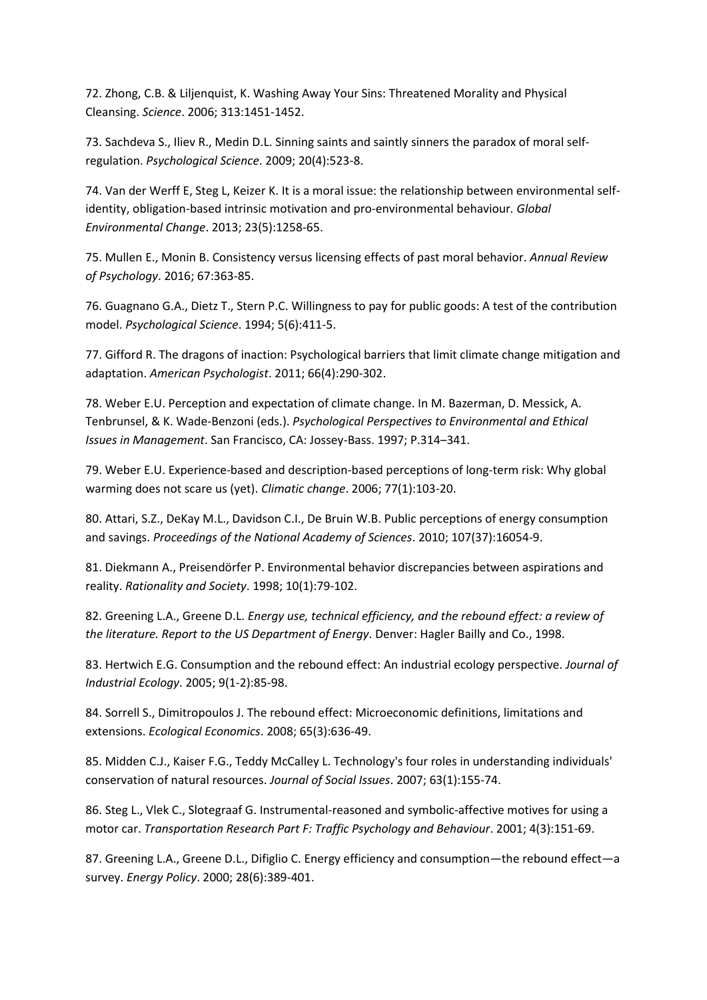72. Zhong, C.B. & Liljenquist, K. Washing Away Your Sins: Threatened Morality and Physical Cleansing. *Science*. 2006; 313:1451-1452.

73. Sachdeva S., Iliev R., Medin D.L. Sinning saints and saintly sinners the paradox of moral selfregulation. *Psychological Science*. 2009; 20(4):523-8.

74. Van der Werff E, Steg L, Keizer K. It is a moral issue: the relationship between environmental selfidentity, obligation-based intrinsic motivation and pro-environmental behaviour*. Global Environmental Change*. 2013; 23(5):1258-65.

75. Mullen E., Monin B. Consistency versus licensing effects of past moral behavior. *Annual Review of Psychology*. 2016; 67:363-85.

76. Guagnano G.A., Dietz T., Stern P.C. Willingness to pay for public goods: A test of the contribution model. *Psychological Science*. 1994; 5(6):411-5.

77. Gifford R. The dragons of inaction: Psychological barriers that limit climate change mitigation and adaptation. *American Psychologist*. 2011; 66(4):290-302.

78. Weber E.U. Perception and expectation of climate change. In M. Bazerman, D. Messick, A. Tenbrunsel, & K. Wade-Benzoni (eds.). *Psychological Perspectives to Environmental and Ethical Issues in Management*. San Francisco, CA: Jossey-Bass. 1997; P.314–341.

79. Weber E.U. Experience-based and description-based perceptions of long-term risk: Why global warming does not scare us (yet). *Climatic change*. 2006; 77(1):103-20.

80. Attari, S.Z., DeKay M.L., Davidson C.I., De Bruin W.B. Public perceptions of energy consumption and savings. *Proceedings of the National Academy of Sciences*. 2010; 107(37):16054-9.

81. Diekmann A., Preisendörfer P. Environmental behavior discrepancies between aspirations and reality. *Rationality and Society*. 1998; 10(1):79-102.

82. Greening L.A., Greene D.L. *Energy use, technical efficiency, and the rebound effect: a review of the literature. Report to the US Department of Energy*. Denver: Hagler Bailly and Co., 1998.

83. Hertwich E.G. Consumption and the rebound effect: An industrial ecology perspective. *Journal of Industrial Ecology*. 2005; 9(1‐2):85-98.

84. Sorrell S., Dimitropoulos J. The rebound effect: Microeconomic definitions, limitations and extensions. *Ecological Economics*. 2008; 65(3):636-49.

85. Midden C.J., Kaiser F.G., Teddy McCalley L. Technology's four roles in understanding individuals' conservation of natural resources. *Journal of Social Issues*. 2007; 63(1):155-74.

86. Steg L., Vlek C., Slotegraaf G. Instrumental-reasoned and symbolic-affective motives for using a motor car. *Transportation Research Part F: Traffic Psychology and Behaviour*. 2001; 4(3):151-69.

87. Greening L.A., Greene D.L., Difiglio C. Energy efficiency and consumption—the rebound effect—a survey. *Energy Policy*. 2000; 28(6):389-401.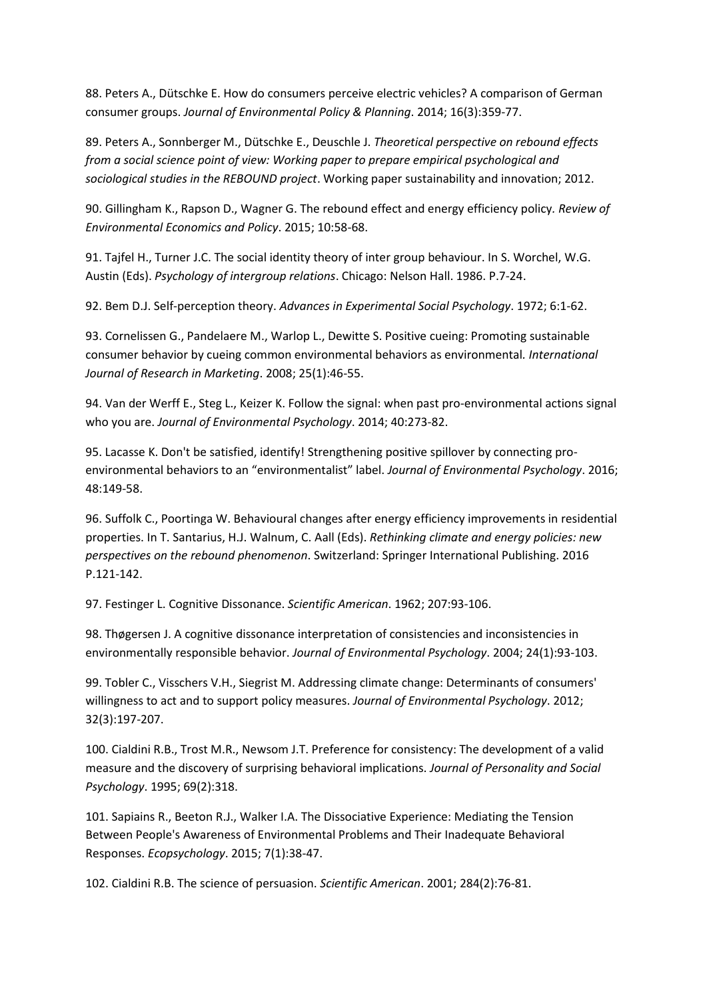88. Peters A., Dütschke E. How do consumers perceive electric vehicles? A comparison of German consumer groups. *Journal of Environmental Policy & Planning*. 2014; 16(3):359-77.

89. Peters A., Sonnberger M., Dütschke E., Deuschle J. *Theoretical perspective on rebound effects from a social science point of view: Working paper to prepare empirical psychological and sociological studies in the REBOUND project*. Working paper sustainability and innovation; 2012.

90. Gillingham K., Rapson D., Wagner G. The rebound effect and energy efficiency policy*. Review of Environmental Economics and Policy*. 2015; 10:58-68.

91. Tajfel H., Turner J.C. The social identity theory of inter group behaviour. In S. Worchel, W.G. Austin (Eds). *Psychology of intergroup relations*. Chicago: Nelson Hall. 1986. P.7-24.

92. Bem D.J. Self-perception theory. *Advances in Experimental Social Psychology*. 1972; 6:1-62.

93. Cornelissen G., Pandelaere M., Warlop L., Dewitte S. Positive cueing: Promoting sustainable consumer behavior by cueing common environmental behaviors as environmental*. International Journal of Research in Marketing*. 2008; 25(1):46-55.

94. Van der Werff E., Steg L., Keizer K. Follow the signal: when past pro-environmental actions signal who you are. *Journal of Environmental Psychology*. 2014; 40:273-82.

95. Lacasse K. Don't be satisfied, identify! Strengthening positive spillover by connecting proenvironmental behaviors to an "environmentalist" label. *Journal of Environmental Psychology*. 2016; 48:149-58.

96. Suffolk C., Poortinga W. Behavioural changes after energy efficiency improvements in residential properties. In T. Santarius, H.J. Walnum, C. Aall (Eds). *Rethinking climate and energy policies: new perspectives on the rebound phenomenon*. Switzerland: Springer International Publishing. 2016 P.121-142.

97. Festinger L. Cognitive Dissonance. *Scientific American*. 1962; 207:93-106.

98. Thøgersen J. A cognitive dissonance interpretation of consistencies and inconsistencies in environmentally responsible behavior. *Journal of Environmental Psychology*. 2004; 24(1):93-103.

99. Tobler C., Visschers V.H., Siegrist M. Addressing climate change: Determinants of consumers' willingness to act and to support policy measures. *Journal of Environmental Psychology*. 2012; 32(3):197-207.

100. Cialdini R.B., Trost M.R., Newsom J.T. Preference for consistency: The development of a valid measure and the discovery of surprising behavioral implications. *Journal of Personality and Social Psychology*. 1995; 69(2):318.

101. Sapiains R., Beeton R.J., Walker I.A. The Dissociative Experience: Mediating the Tension Between People's Awareness of Environmental Problems and Their Inadequate Behavioral Responses. *Ecopsychology*. 2015; 7(1):38-47.

102. Cialdini R.B. The science of persuasion. *Scientific American*. 2001; 284(2):76-81.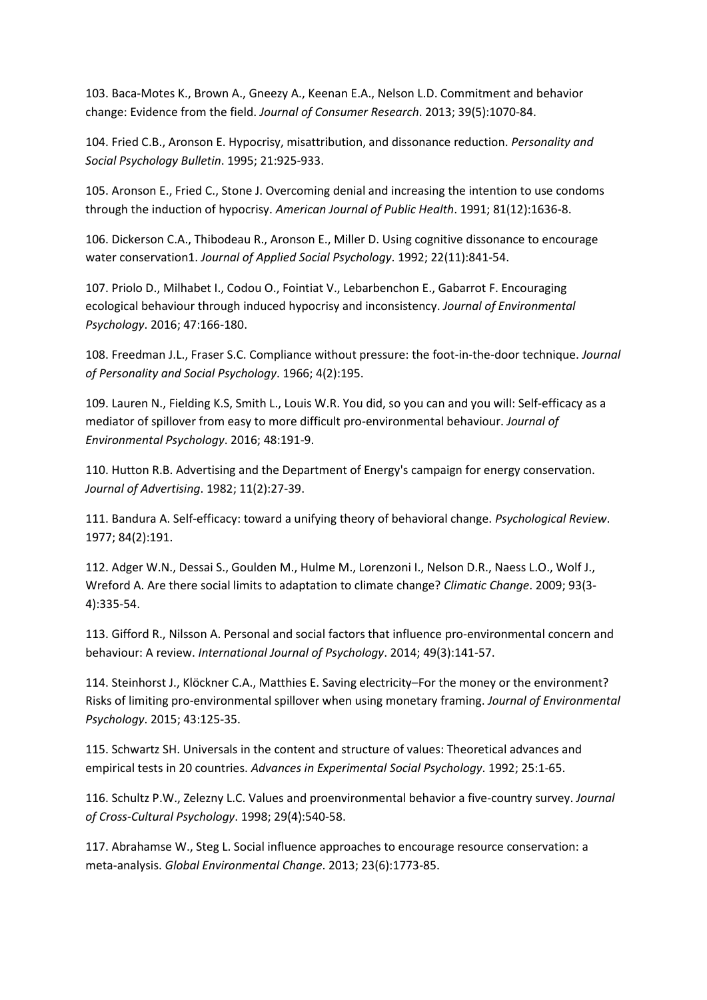103. Baca-Motes K., Brown A., Gneezy A., Keenan E.A., Nelson L.D. Commitment and behavior change: Evidence from the field. *Journal of Consumer Research*. 2013; 39(5):1070-84.

104. Fried C.B., Aronson E. Hypocrisy, misattribution, and dissonance reduction. *Personality and Social Psychology Bulletin*. 1995; 21:925-933.

105. Aronson E., Fried C., Stone J. Overcoming denial and increasing the intention to use condoms through the induction of hypocrisy. *American Journal of Public Health*. 1991; 81(12):1636-8.

106. Dickerson C.A., Thibodeau R., Aronson E., Miller D. Using cognitive dissonance to encourage water conservation1. *Journal of Applied Social Psychology*. 1992; 22(11):841-54.

107. Priolo D., Milhabet I., Codou O., Fointiat V., Lebarbenchon E., Gabarrot F. Encouraging ecological behaviour through induced hypocrisy and inconsistency. *Journal of Environmental Psychology*. 2016; 47:166-180.

108. Freedman J.L., Fraser S.C. Compliance without pressure: the foot-in-the-door technique. *Journal of Personality and Social Psychology*. 1966; 4(2):195.

109. Lauren N., Fielding K.S, Smith L., Louis W.R. You did, so you can and you will: Self-efficacy as a mediator of spillover from easy to more difficult pro-environmental behaviour. *Journal of Environmental Psychology*. 2016; 48:191-9.

110. Hutton R.B. Advertising and the Department of Energy's campaign for energy conservation. *Journal of Advertising*. 1982; 11(2):27-39.

111. Bandura A. Self-efficacy: toward a unifying theory of behavioral change. *Psychological Review*. 1977; 84(2):191.

112. Adger W.N., Dessai S., Goulden M., Hulme M., Lorenzoni I., Nelson D.R., Naess L.O., Wolf J., Wreford A. Are there social limits to adaptation to climate change? *Climatic Change*. 2009; 93(3- 4):335-54.

113. Gifford R., Nilsson A. Personal and social factors that influence pro‐environmental concern and behaviour: A review. *International Journal of Psychology*. 2014; 49(3):141-57.

114. Steinhorst J., Klöckner C.A., Matthies E. Saving electricity–For the money or the environment? Risks of limiting pro-environmental spillover when using monetary framing. *Journal of Environmental Psychology*. 2015; 43:125-35.

115. Schwartz SH. Universals in the content and structure of values: Theoretical advances and empirical tests in 20 countries. *Advances in Experimental Social Psychology*. 1992; 25:1-65.

116. Schultz P.W., Zelezny L.C. Values and proenvironmental behavior a five-country survey. *Journal of Cross-Cultural Psychology*. 1998; 29(4):540-58.

117. Abrahamse W., Steg L. Social influence approaches to encourage resource conservation: a meta-analysis. *Global Environmental Change*. 2013; 23(6):1773-85.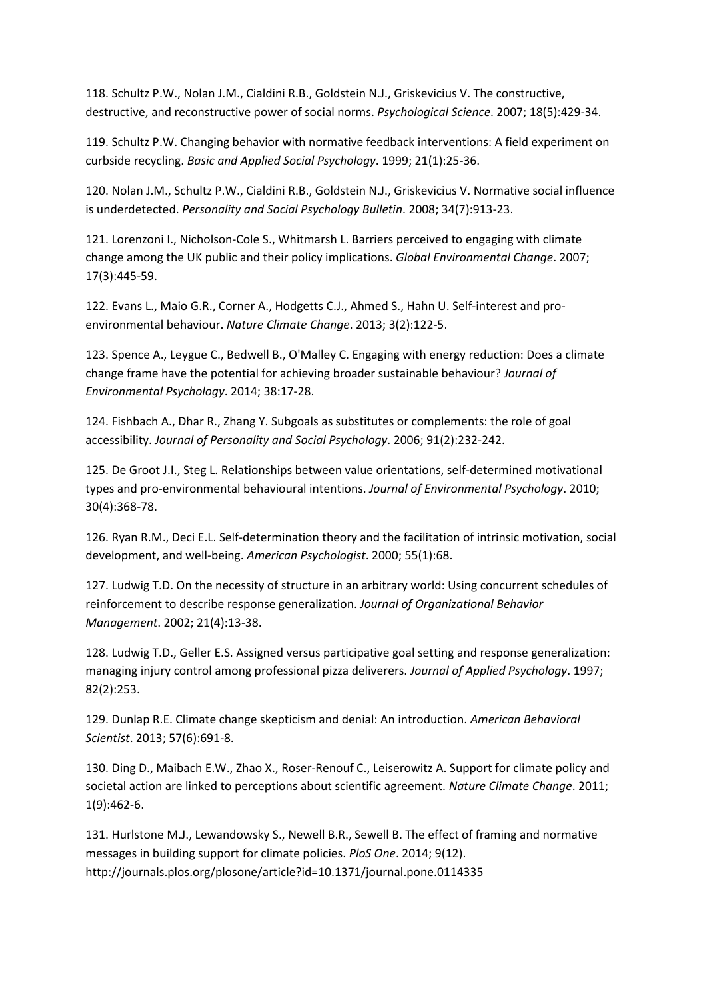118. Schultz P.W., Nolan J.M., Cialdini R.B., Goldstein N.J., Griskevicius V. The constructive, destructive, and reconstructive power of social norms. *Psychological Science*. 2007; 18(5):429-34.

119. Schultz P.W. Changing behavior with normative feedback interventions: A field experiment on curbside recycling. *Basic and Applied Social Psychology*. 1999; 21(1):25-36.

120. Nolan J.M., Schultz P.W., Cialdini R.B., Goldstein N.J., Griskevicius V. Normative social influence is underdetected. *Personality and Social Psychology Bulletin*. 2008; 34(7):913-23.

121. Lorenzoni I., Nicholson-Cole S., Whitmarsh L. Barriers perceived to engaging with climate change among the UK public and their policy implications. *Global Environmental Change*. 2007; 17(3):445-59.

122. Evans L., Maio G.R., Corner A., Hodgetts C.J., Ahmed S., Hahn U. Self-interest and proenvironmental behaviour. *Nature Climate Change*. 2013; 3(2):122-5.

123. Spence A., Leygue C., Bedwell B., O'Malley C. Engaging with energy reduction: Does a climate change frame have the potential for achieving broader sustainable behaviour? *Journal of Environmental Psychology*. 2014; 38:17-28.

124. Fishbach A., Dhar R., Zhang Y. Subgoals as substitutes or complements: the role of goal accessibility. *Journal of Personality and Social Psychology*. 2006; 91(2):232-242.

125. De Groot J.I., Steg L. Relationships between value orientations, self-determined motivational types and pro-environmental behavioural intentions. *Journal of Environmental Psychology*. 2010; 30(4):368-78.

126. Ryan R.M., Deci E.L. Self-determination theory and the facilitation of intrinsic motivation, social development, and well-being. *American Psychologist*. 2000; 55(1):68.

127. Ludwig T.D. On the necessity of structure in an arbitrary world: Using concurrent schedules of reinforcement to describe response generalization. *Journal of Organizational Behavior Management*. 2002; 21(4):13-38.

128. Ludwig T.D., Geller E.S. Assigned versus participative goal setting and response generalization: managing injury control among professional pizza deliverers. *Journal of Applied Psychology*. 1997; 82(2):253.

129. Dunlap R.E. Climate change skepticism and denial: An introduction. *American Behavioral Scientist*. 2013; 57(6):691-8.

130. Ding D., Maibach E.W., Zhao X., Roser-Renouf C., Leiserowitz A. Support for climate policy and societal action are linked to perceptions about scientific agreement. *Nature Climate Change*. 2011; 1(9):462-6.

131. Hurlstone M.J., Lewandowsky S., Newell B.R., Sewell B. The effect of framing and normative messages in building support for climate policies. *PloS One*. 2014; 9(12). http://journals.plos.org/plosone/article?id=10.1371/journal.pone.0114335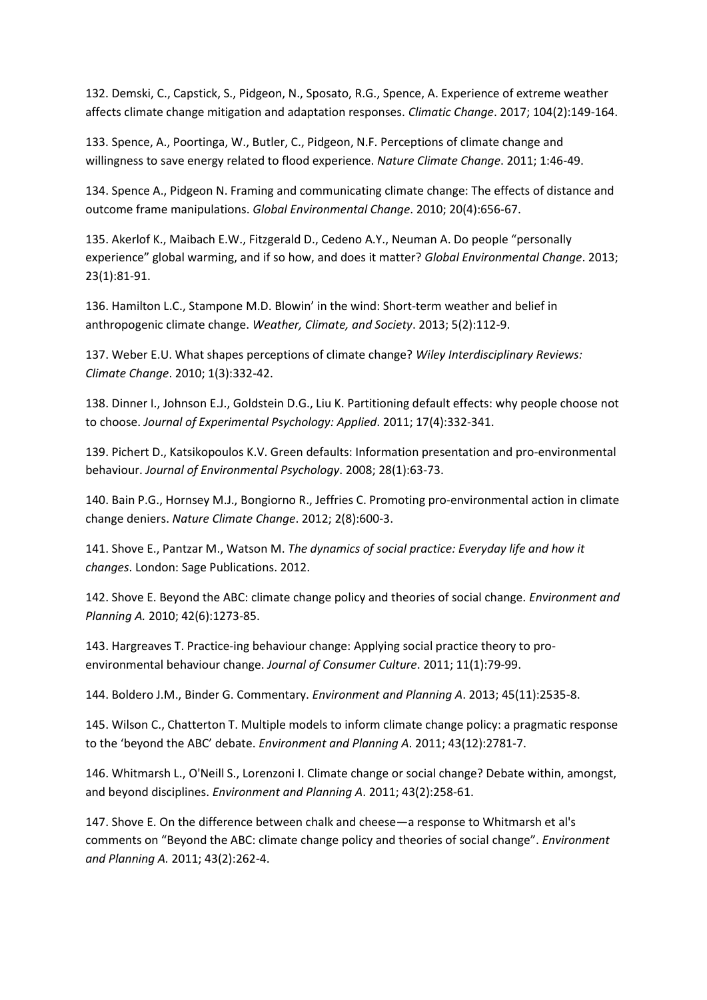132. Demski, C., Capstick, S., Pidgeon, N., Sposato, R.G., Spence, A. Experience of extreme weather affects climate change mitigation and adaptation responses. *Climatic Change*. 2017; 104(2):149-164.

133. Spence, A., Poortinga, W., Butler, C., Pidgeon, N.F. Perceptions of climate change and willingness to save energy related to flood experience. *Nature Climate Change*. 2011; 1:46-49.

134. Spence A., Pidgeon N. Framing and communicating climate change: The effects of distance and outcome frame manipulations. *Global Environmental Change*. 2010; 20(4):656-67.

135. Akerlof K., Maibach E.W., Fitzgerald D., Cedeno A.Y., Neuman A. Do people "personally experience" global warming, and if so how, and does it matter? *Global Environmental Change*. 2013; 23(1):81-91.

136. Hamilton L.C., Stampone M.D. Blowin' in the wind: Short-term weather and belief in anthropogenic climate change. *Weather, Climate, and Society*. 2013; 5(2):112-9.

137. Weber E.U. What shapes perceptions of climate change? *Wiley Interdisciplinary Reviews: Climate Change*. 2010; 1(3):332-42.

138. Dinner I., Johnson E.J., Goldstein D.G., Liu K. Partitioning default effects: why people choose not to choose. *Journal of Experimental Psychology: Applied*. 2011; 17(4):332-341.

139. Pichert D., Katsikopoulos K.V. Green defaults: Information presentation and pro-environmental behaviour. *Journal of Environmental Psychology*. 2008; 28(1):63-73.

140. Bain P.G., Hornsey M.J., Bongiorno R., Jeffries C. Promoting pro-environmental action in climate change deniers. *Nature Climate Change*. 2012; 2(8):600-3.

141. Shove E., Pantzar M., Watson M. *The dynamics of social practice: Everyday life and how it changes*. London: Sage Publications. 2012.

142. Shove E. Beyond the ABC: climate change policy and theories of social change. *Environment and Planning A.* 2010; 42(6):1273-85.

143. Hargreaves T. Practice-ing behaviour change: Applying social practice theory to proenvironmental behaviour change. *Journal of Consumer Culture*. 2011; 11(1):79-99.

144. Boldero J.M., Binder G. Commentary. *Environment and Planning A*. 2013; 45(11):2535-8.

145. Wilson C., Chatterton T. Multiple models to inform climate change policy: a pragmatic response to the 'beyond the ABC' debate. *Environment and Planning A*. 2011; 43(12):2781-7.

146. Whitmarsh L., O'Neill S., Lorenzoni I. Climate change or social change? Debate within, amongst, and beyond disciplines. *Environment and Planning A*. 2011; 43(2):258-61.

147. Shove E. On the difference between chalk and cheese—a response to Whitmarsh et al's comments on "Beyond the ABC: climate change policy and theories of social change". *Environment and Planning A.* 2011; 43(2):262-4.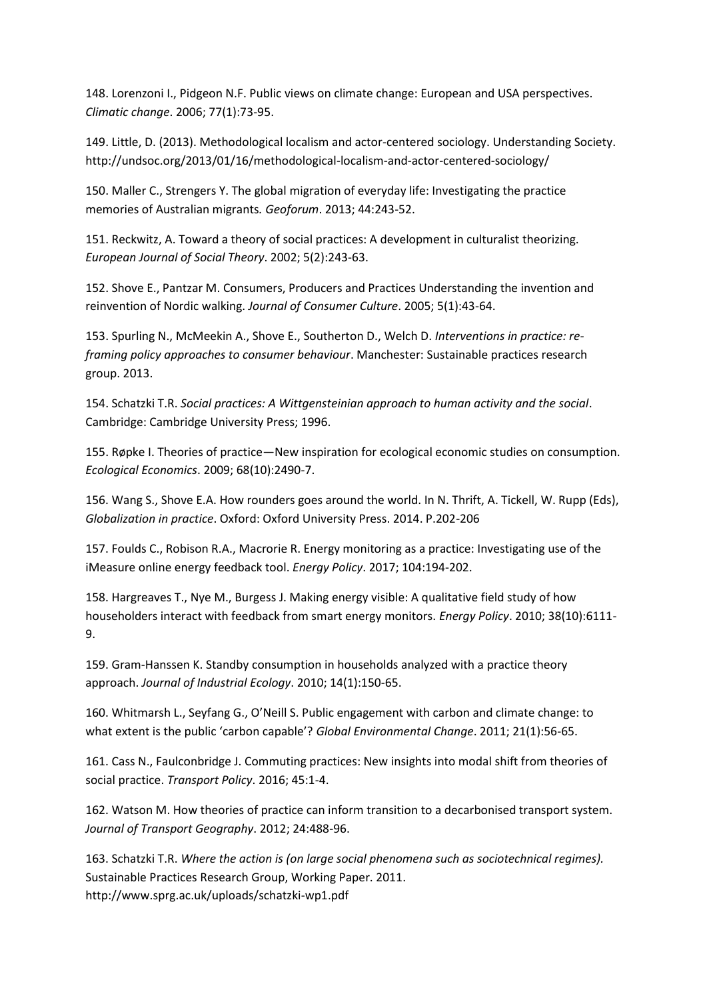148. Lorenzoni I., Pidgeon N.F. Public views on climate change: European and USA perspectives. *Climatic change*. 2006; 77(1):73-95.

149. Little, D. (2013). Methodological localism and actor-centered sociology. Understanding Society. <http://undsoc.org/2013/01/16/methodological-localism-and-actor-centered-sociology/>

150. Maller C., Strengers Y. The global migration of everyday life: Investigating the practice memories of Australian migrants*. Geoforum*. 2013; 44:243-52.

151. Reckwitz, A. Toward a theory of social practices: A development in culturalist theorizing. *European Journal of Social Theory*. 2002; 5(2):243-63.

152. Shove E., Pantzar M. Consumers, Producers and Practices Understanding the invention and reinvention of Nordic walking. *Journal of Consumer Culture*. 2005; 5(1):43-64.

153. Spurling N., McMeekin A., Shove E., Southerton D., Welch D. *Interventions in practice: reframing policy approaches to consumer behaviour*. Manchester: Sustainable practices research group. 2013.

154. Schatzki T.R. *Social practices: A Wittgensteinian approach to human activity and the social*. Cambridge: Cambridge University Press; 1996.

155. Røpke I. Theories of practice—New inspiration for ecological economic studies on consumption. *Ecological Economics*. 2009; 68(10):2490-7.

156. Wang S., Shove E.A. How rounders goes around the world. In N. Thrift, A. Tickell, W. Rupp (Eds), *Globalization in practice*. Oxford: Oxford University Press. 2014. P.202-206

157. Foulds C., Robison R.A., Macrorie R. Energy monitoring as a practice: Investigating use of the iMeasure online energy feedback tool. *Energy Policy*. 2017; 104:194-202.

158. Hargreaves T., Nye M., Burgess J. Making energy visible: A qualitative field study of how householders interact with feedback from smart energy monitors. *Energy Policy*. 2010; 38(10):6111- 9.

159. Gram‐Hanssen K. Standby consumption in households analyzed with a practice theory approach. *Journal of Industrial Ecology*. 2010; 14(1):150-65.

160. Whitmarsh L., Seyfang G., O'Neill S. Public engagement with carbon and climate change: to what extent is the public 'carbon capable'? *Global Environmental Change*. 2011; 21(1):56-65.

161. Cass N., Faulconbridge J. Commuting practices: New insights into modal shift from theories of social practice. *Transport Policy*. 2016; 45:1-4.

162. Watson M. How theories of practice can inform transition to a decarbonised transport system. *Journal of Transport Geography*. 2012; 24:488-96.

163. Schatzki T.R. *Where the action is (on large social phenomena such as sociotechnical regimes).* Sustainable Practices Research Group, Working Paper. 2011. http://www.sprg.ac.uk/uploads/schatzki-wp1.pdf